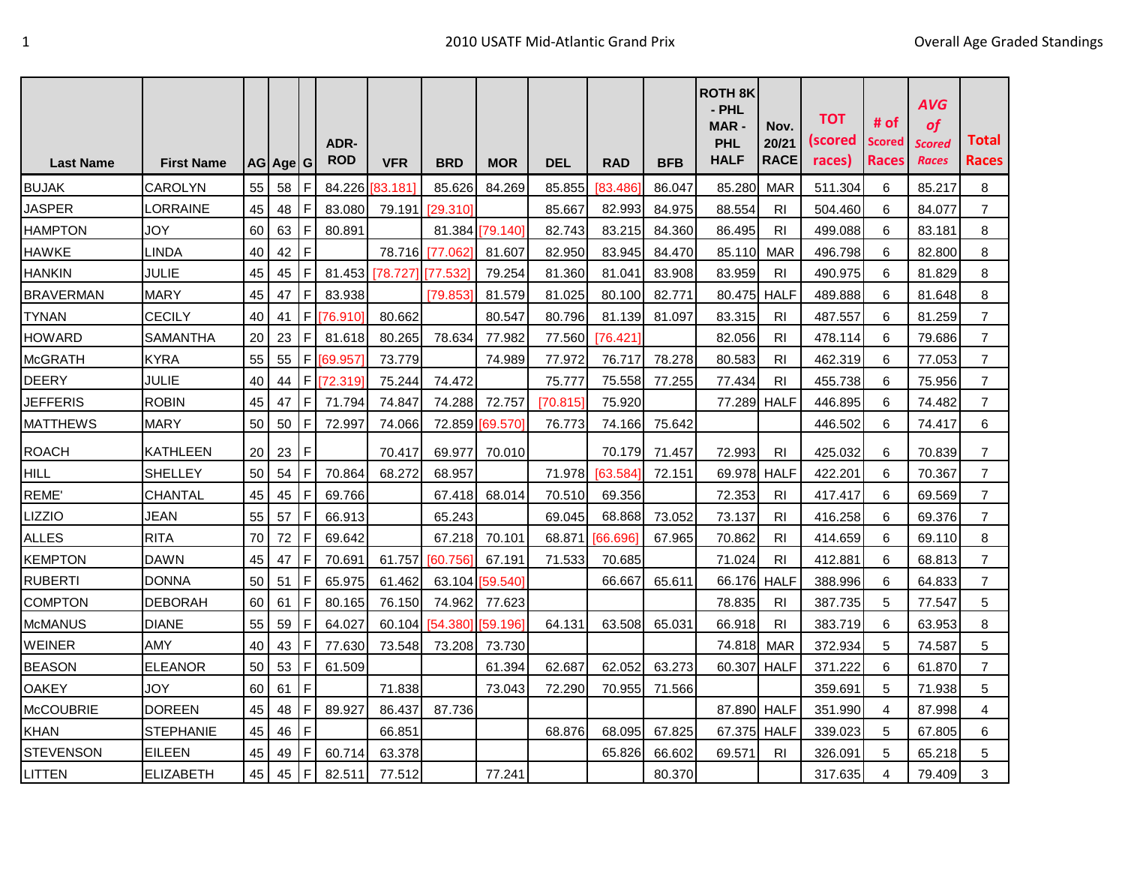|                  |                   |    |            |           |                           |            |            |            |          |            |            | <b>ROTH 8K</b><br>- PHL<br><b>MAR-</b> | Nov.                 | <b>TOT</b>        | # of                   | <b>AVG</b><br>of |                       |
|------------------|-------------------|----|------------|-----------|---------------------------|------------|------------|------------|----------|------------|------------|----------------------------------------|----------------------|-------------------|------------------------|------------------|-----------------------|
| <b>Last Name</b> | <b>First Name</b> |    | AG  Age  G |           | <b>ADR-</b><br><b>ROD</b> | <b>VFR</b> | <b>BRD</b> | <b>MOR</b> | DEL      | <b>RAD</b> | <b>BFB</b> | <b>PHL</b><br><b>HALF</b>              | 20/21<br><b>RACE</b> | (scored<br>races) | <b>Scored</b><br>Races | Scored<br>Races  | Total<br><b>Races</b> |
| <b>BUJAK</b>     | CAROLYN           | 55 | 58         | IF        | 84.226                    | [83.181]   | 85.626     | 84.269     | 85.855   | 83.486     | 86.047     | 85.280                                 | <b>MAR</b>           | 511.304           | 6                      | 85.217           | 8                     |
| <b>JASPER</b>    | <b>LORRAINE</b>   | 45 | 48         | IF        | 83.080                    | 79.191     | [29.310]   |            | 85.667   | 82.993     | 84.975     | 88.554                                 | <b>RI</b>            | 504.460           | 6                      | 84.077           | $\overline{7}$        |
| <b>HAMPTON</b>   | <b>JOY</b>        | 60 | 63         | IF        | 80.891                    |            | 81.384     | [79.140]   | 82.743   | 83.215     | 84.360     | 86.495                                 | RI                   | 499.088           | 6                      | 83.181           | 8                     |
| <b>HAWKE</b>     | LINDA             | 40 | 42         | IF        |                           | 78.716     | [77.062]   | 81.607     | 82.950   | 83.945     | 84.470     | 85.110                                 | MAR                  | 496.798           | 6                      | 82.800           | 8                     |
| <b>HANKIN</b>    | <b>JULIE</b>      | 45 | 45         | IF        | 81.453                    | [78.727]   | 77.532     | 79.254     | 81.360   | 81.041     | 83.908     | 83.959                                 | RI                   | 490.975           | 6                      | 81.829           | 8                     |
| <b>BRAVERMAN</b> | <b>MARY</b>       | 45 | 47         | IF        | 83.938                    |            | [79.853]   | 81.579     | 81.025   | 80.100     | 82.771     | 80.475                                 | <b>HALF</b>          | 489.888           | 6                      | 81.648           | 8                     |
| <b>TYNAN</b>     | <b>CECILY</b>     | 40 | 41         | F         | [76.910]                  | 80.662     |            | 80.547     | 80.796   | 81.139     | 81.097     | 83.315                                 | <b>RI</b>            | 487.557           | 6                      | 81.259           | $\overline{7}$        |
| <b>HOWARD</b>    | <b>SAMANTHA</b>   | 20 | 23         | IF.       | 81.618                    | 80.265     | 78.634     | 77.982     | 77.560   | [76.421]   |            | 82.056                                 | RI                   | 478.114           | 6                      | 79.686           | $\overline{7}$        |
| <b>McGRATH</b>   | <b>KYRA</b>       | 55 | 55         | IF.       | [69.957]                  | 73.779     |            | 74.989     | 77.972   | 76.717     | 78.278     | 80.583                                 | RI                   | 462.319           | 6                      | 77.053           | $\overline{7}$        |
| <b>DEERY</b>     | <b>JULIE</b>      | 40 | 44         |           | F [72.319]                | 75.244     | 74.472     |            | 75.777   | 75.558     | 77.255     | 77.434                                 | <b>RI</b>            | 455.738           | 6                      | 75.956           | $\overline{7}$        |
| <b>JEFFERIS</b>  | <b>ROBIN</b>      | 45 | 47         | IF        | 71.794                    | 74.847     | 74.288     | 72.757     | [70.815] | 75.920     |            | 77.289                                 | <b>HALF</b>          | 446.895           | 6                      | 74.482           | $\overline{7}$        |
| <b>MATTHEWS</b>  | MARY              | 50 | 50         | IF        | 72.997                    | 74.066     | 72.859     | 169.570    | 76.773   | 74.166     | 75.642     |                                        |                      | 446.502           | 6                      | 74.417           | 6                     |
| <b>ROACH</b>     | <b>KATHLEEN</b>   | 20 | 23         | IF        |                           | 70.417     | 69.977     | 70.010     |          | 70.179     | 71.457     | 72.993                                 | RI                   | 425.032           | 6                      | 70.839           | 7                     |
| HILL             | <b>SHELLEY</b>    | 50 | 54         | <b>IF</b> | 70.864                    | 68.272     | 68.957     |            | 71.978   | [63.584]   | 72.151     | 69.978                                 | HALF                 | 422.201           | 6                      | 70.367           | $\overline{7}$        |
| REME'            | CHANTAL           | 45 | 45         | IF.       | 69.766                    |            | 67.418     | 68.014     | 70.510   | 69.356     |            | 72.353                                 | <b>RI</b>            | 417.417           | 6                      | 69.569           | $\overline{7}$        |
| <b>LIZZIO</b>    | <b>JEAN</b>       | 55 | 57         | ΙF        | 66.913                    |            | 65.243     |            | 69.045   | 68.868     | 73.052     | 73.137                                 | <b>RI</b>            | 416.258           | 6                      | 69.376           | $\overline{7}$        |
| <b>ALLES</b>     | <b>RITA</b>       | 70 | 72         | IF        | 69.642                    |            | 67.218     | 70.101     | 68.871   | 66.696     | 67.965     | 70.862                                 | <b>RI</b>            | 414.659           | 6                      | 69.110           | 8                     |
| <b>KEMPTON</b>   | <b>DAWN</b>       | 45 | 47         | IF        | 70.691                    | 61.757     | [60.756]   | 67.191     | 71.533   | 70.685     |            | 71.024                                 | <b>RI</b>            | 412.881           | 6                      | 68.813           | $\overline{7}$        |
| <b>RUBERTI</b>   | DONNA             | 50 | 51         | F         | 65.975                    | 61.462     | 63.104     | [59.540]   |          | 66.667     | 65.611     | 66.176                                 | <b>HALF</b>          | 388.996           | 6                      | 64.833           | $\overline{7}$        |
| <b>COMPTON</b>   | <b>DEBORAH</b>    | 60 | 61         | I F       | 80.165                    | 76.150     | 74.962     | 77.623     |          |            |            | 78.835                                 | RI.                  | 387.735           | 5                      | 77.547           | 5                     |
| <b>McMANUS</b>   | <b>DIANE</b>      | 55 | 59         | IF        | 64.027                    | 60.104     | [54.380]   | [59.196]   | 64.131   | 63.508     | 65.031     | 66.918                                 | R <sub>l</sub>       | 383.719           | 6                      | 63.953           | 8                     |
| <b>WEINER</b>    | <b>AMY</b>        | 40 | 43         | IF        | 77.630                    | 73.548     | 73.208     | 73.730     |          |            |            | 74.818                                 | MAR                  | 372.934           | 5                      | 74.587           | 5                     |
| <b>BEASON</b>    | <b>ELEANOR</b>    | 50 | 53         | ΙF        | 61.509                    |            |            | 61.394     | 62.687   | 62.052     | 63.273     | 60.307                                 | <b>HALF</b>          | 371.222           | 6                      | 61.870           | $\overline{7}$        |
| <b>OAKEY</b>     | JOY               | 60 | 61         | IF        |                           | 71.838     |            | 73.043     | 72.290   | 70.955     | 71.566     |                                        |                      | 359.691           | 5                      | 71.938           | 5                     |
| <b>McCOUBRIE</b> | <b>DOREEN</b>     | 45 | 48         | IF        | 89.927                    | 86.437     | 87.736     |            |          |            |            | 87.890 HALF                            |                      | 351.990           | 4                      | 87.998           | 4                     |
| <b>KHAN</b>      | <b>STEPHANIE</b>  | 45 | 46         | ١F        |                           | 66.851     |            |            | 68.876   | 68.095     | 67.825     | 67.375                                 | <b>HALF</b>          | 339.023           | 5                      | 67.805           | 6                     |
| <b>STEVENSON</b> | <b>EILEEN</b>     | 45 | 49         | IF        | 60.714                    | 63.378     |            |            |          | 65.826     | 66.602     | 69.571                                 | RI                   | 326.091           | 5                      | 65.218           | 5                     |
| LITTEN           | <b>ELIZABETH</b>  | 45 | 45         | F         | 82.511                    | 77.512     |            | 77.241     |          |            | 80.370     |                                        |                      | 317.635           | 4                      | 79.409           | 3                     |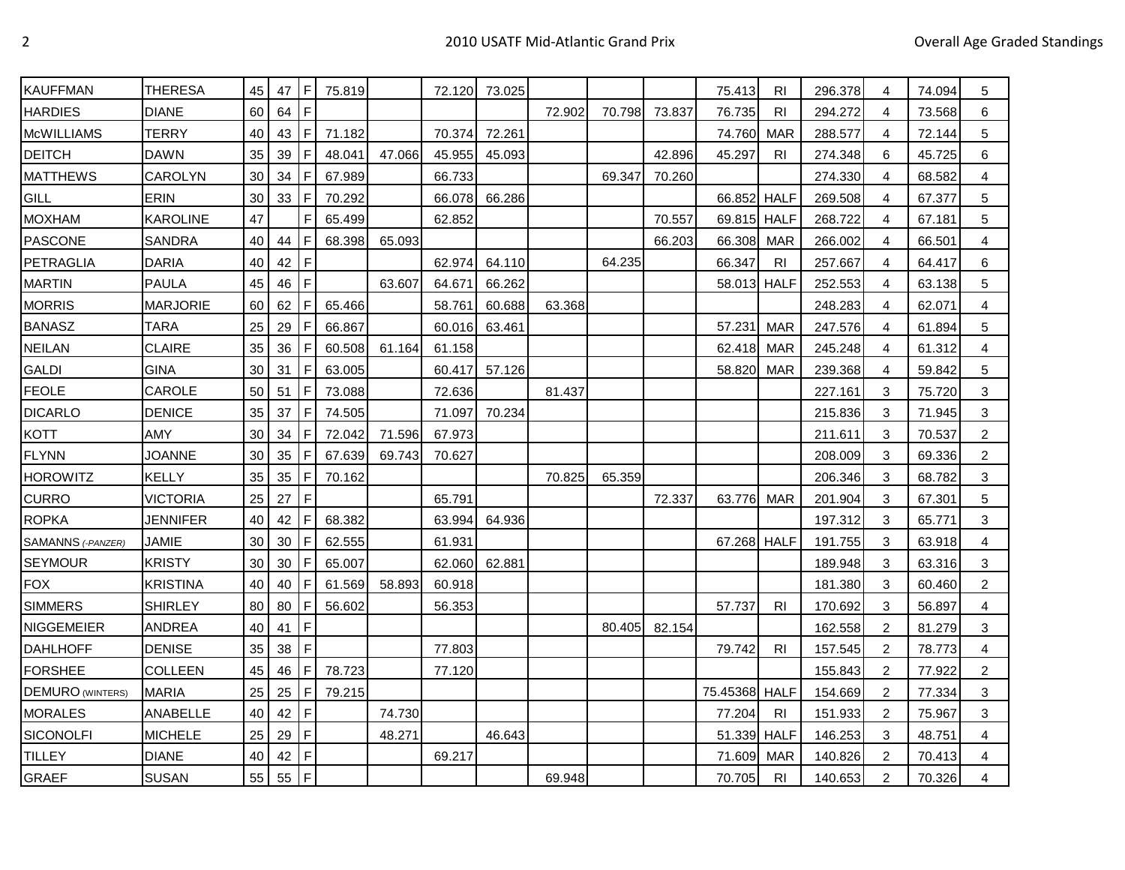| <b>KAUFFMAN</b>          | <b>THERESA</b>  | 45 | 47     | IF          | 75.819 |        | 72.120 | 73.025 |        |        |               | 75.413        | <b>RI</b>      | 296.378 | 4 | 74.094 | 5 |
|--------------------------|-----------------|----|--------|-------------|--------|--------|--------|--------|--------|--------|---------------|---------------|----------------|---------|---|--------|---|
| <b>HARDIES</b>           | <b>DIANE</b>    | 60 | 64     | IF.         |        |        |        |        | 72.902 |        | 70.798 73.837 | 76.735        | <b>RI</b>      | 294.272 | 4 | 73.568 | 6 |
| <b>McWILLIAMS</b>        | <b>TERRY</b>    | 40 | 43     | IF.         | 71.182 |        | 70.374 | 72.261 |        |        |               | 74.760        | <b>MAR</b>     | 288.577 | 4 | 72.144 | 5 |
| <b>DEITCH</b>            | DAWN            | 35 | 39     | IF.         | 48.041 | 47.066 | 45.955 | 45.093 |        |        | 42.896        | 45.297        | RI             | 274.348 | 6 | 45.725 | 6 |
| <b>MATTHEWS</b>          | <b>CAROLYN</b>  | 30 | 34     | IF.         | 67.989 |        | 66.733 |        |        | 69.347 | 70.260        |               |                | 274.330 | 4 | 68.582 | 4 |
| <b>GILL</b>              | ERIN            | 30 | 33     | IF.         | 70.292 |        | 66.078 | 66.286 |        |        |               | 66.852 HALF   |                | 269.508 | 4 | 67.377 | 5 |
| <b>MOXHAM</b>            | <b>KAROLINE</b> | 47 |        | $\mathsf F$ | 65.499 |        | 62.852 |        |        |        | 70.557        | 69.815 HALF   |                | 268.722 | 4 | 67.181 | 5 |
| <b>PASCONE</b>           | <b>SANDRA</b>   | 40 | 44     | I F         | 68.398 | 65.093 |        |        |        |        | 66.203        | 66.308 MAR    |                | 266.002 | 4 | 66.501 | 4 |
| <b>PETRAGLIA</b>         | <b>DARIA</b>    | 40 | 42     | IF.         |        |        | 62.974 | 64.110 |        | 64.235 |               | 66.347        | <b>RI</b>      | 257.667 | 4 | 64.417 | 6 |
| <b>MARTIN</b>            | <b>PAULA</b>    | 45 | 46     | IF.         |        | 63.607 | 64.671 | 66.262 |        |        |               | 58.013 HALF   |                | 252.553 | 4 | 63.138 | 5 |
| <b>MORRIS</b>            | MARJORIE        | 60 | 62     | F           | 65.466 |        | 58.761 | 60.688 | 63.368 |        |               |               |                | 248.283 | 4 | 62.071 | 4 |
| <b>BANASZ</b>            | <b>TARA</b>     | 25 | 29     | IF.         | 66.867 |        | 60.016 | 63.461 |        |        |               | 57.231        | <b>MAR</b>     | 247.576 | 4 | 61.894 | 5 |
| <b>NEILAN</b>            | <b>CLAIRE</b>   | 35 | 36     | ١F          | 60.508 | 61.164 | 61.158 |        |        |        |               | 62.418        | MAR            | 245.248 | 4 | 61.312 | 4 |
| <b>GALDI</b>             | <b>GINA</b>     | 30 | 31     | l F         | 63.005 |        | 60.417 | 57.126 |        |        |               | 58.820        | <b>MAR</b>     | 239.368 | 4 | 59.842 | 5 |
| <b>FEOLE</b>             | CAROLE          | 50 | 51     | F           | 73.088 |        | 72.636 |        | 81.437 |        |               |               |                | 227.161 | 3 | 75.720 | 3 |
| <b>DICARLO</b>           | <b>DENICE</b>   | 35 | 37     | l F         | 74.505 |        | 71.097 | 70.234 |        |        |               |               |                | 215.836 | 3 | 71.945 | 3 |
| <b>KOTT</b>              | AMY             | 30 | 34     | l F         | 72.042 | 71.596 | 67.973 |        |        |        |               |               |                | 211.611 | 3 | 70.537 | 2 |
| <b>FLYNN</b>             | <b>JOANNE</b>   | 30 | 35     | l F         | 67.639 | 69.743 | 70.627 |        |        |        |               |               |                | 208.009 | 3 | 69.336 | 2 |
| <b>HOROWITZ</b>          | KELLY           | 35 | 35     | I F         | 70.162 |        |        |        | 70.825 | 65.359 |               |               |                | 206.346 | 3 | 68.782 | 3 |
| <b>CURRO</b>             | <b>VICTORIA</b> | 25 | 27     | IF.         |        |        | 65.791 |        |        |        | 72.337        | 63.776        | MAR            | 201.904 | 3 | 67.301 | 5 |
| <b>ROPKA</b>             | <b>JENNIFER</b> | 40 | 42     | IF.         | 68.382 |        | 63.994 | 64.936 |        |        |               |               |                | 197.312 | 3 | 65.771 | 3 |
| <b>SAMANNS (-PANZER)</b> | JAMIE           | 30 | 30     | IF.         | 62.555 |        | 61.931 |        |        |        |               | 67.268 HALF   |                | 191.755 | 3 | 63.918 | 4 |
| <b>SEYMOUR</b>           | <b>KRISTY</b>   | 30 | 30     | F           | 65.007 |        | 62.060 | 62.881 |        |        |               |               |                | 189.948 | 3 | 63.316 | 3 |
| <b>FOX</b>               | <b>KRISTINA</b> | 40 | 40     | l F         | 61.569 | 58.893 | 60.918 |        |        |        |               |               |                | 181.380 | 3 | 60.460 | 2 |
| <b>SIMMERS</b>           | <b>SHIRLEY</b>  | 80 | 80     | l F         | 56.602 |        | 56.353 |        |        |        |               | 57.737        | RI.            | 170.692 | 3 | 56.897 | 4 |
| <b>NIGGEMEIER</b>        | ANDREA          | 40 | 41     | l F         |        |        |        |        |        | 80.405 | 82.154        |               |                | 162.558 | 2 | 81.279 | 3 |
| <b>DAHLHOFF</b>          | <b>DENISE</b>   | 35 | 38     | l F         |        |        | 77.803 |        |        |        |               | 79.742        | R <sub>l</sub> | 157.545 | 2 | 78.773 | 4 |
| <b>FORSHEE</b>           | <b>COLLEEN</b>  | 45 | 46     | l F         | 78.723 |        | 77.120 |        |        |        |               |               |                | 155.843 | 2 | 77.922 | 2 |
| <b>DEMURO (WINTERS)</b>  | <b>MARIA</b>    | 25 | 25     | l F         | 79.215 |        |        |        |        |        |               | 75.45368 HALF |                | 154.669 | 2 | 77.334 | 3 |
| <b>MORALES</b>           | <b>ANABELLE</b> | 40 | 42     | IF.         |        | 74.730 |        |        |        |        |               | 77.204        | <b>RI</b>      | 151.933 | 2 | 75.967 | 3 |
| SICONOLFI                | <b>MICHELE</b>  | 25 | 29     | l F         |        | 48.271 |        | 46.643 |        |        |               | 51.339 HALF   |                | 146.253 | 3 | 48.751 | 4 |
| <b>TILLEY</b>            | <b>DIANE</b>    | 40 | 42     | İF.         |        |        | 69.217 |        |        |        |               | 71.609        | <b>MAR</b>     | 140.826 | 2 | 70.413 | 4 |
| <b>GRAEF</b>             | <b>SUSAN</b>    | 55 | $55$ F |             |        |        |        |        | 69.948 |        |               | 70.705        | R <sub>l</sub> | 140.653 | 2 | 70.326 | 4 |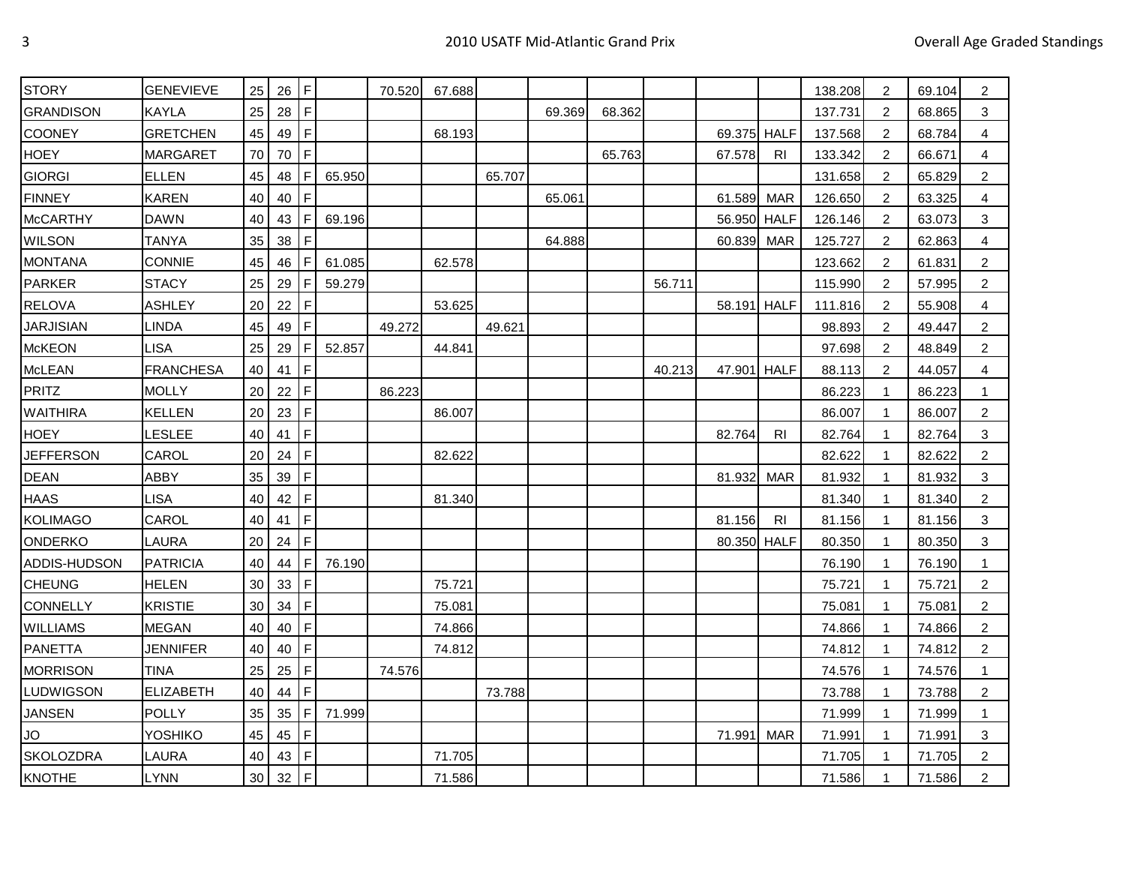| <b>STORY</b>     | <b>GENEVIEVE</b> | 25 | 26     | IF.         |        | 70.520 | 67.688 |        |        |        |        |             |            | 138.208 | 2              | 69.104 | 2              |
|------------------|------------------|----|--------|-------------|--------|--------|--------|--------|--------|--------|--------|-------------|------------|---------|----------------|--------|----------------|
| <b>GRANDISON</b> | <b>KAYLA</b>     | 25 | 28     | l F         |        |        |        |        | 69.369 | 68.362 |        |             |            | 137.731 | 2              | 68.865 | 3              |
| COONEY           | <b>GRETCHEN</b>  | 45 | 49     | l F         |        |        | 68.193 |        |        |        |        | 69.375 HALF |            | 137.568 | 2              | 68.784 | 4              |
| <b>HOEY</b>      | <b>MARGARET</b>  | 70 | 70     | l F         |        |        |        |        |        | 65.763 |        | 67.578      | <b>RI</b>  | 133.342 | $\overline{2}$ | 66.671 | 4              |
| <b>GIORGI</b>    | <b>ELLEN</b>     | 45 | 48     | IF.         | 65.950 |        |        | 65.707 |        |        |        |             |            | 131.658 | 2              | 65.829 | $\overline{2}$ |
| <b>FINNEY</b>    | <b>KAREN</b>     | 40 | 40     | IF.         |        |        |        |        | 65.061 |        |        | 61.589      | <b>MAR</b> | 126.650 | 2              | 63.325 | 4              |
| <b>McCARTHY</b>  | <b>DAWN</b>      | 40 | 43     | l F         | 69.196 |        |        |        |        |        |        | 56.950 HALF |            | 126.146 | 2              | 63.073 | 3              |
| <b>WILSON</b>    | <b>TANYA</b>     | 35 | 38     | l F.        |        |        |        |        | 64.888 |        |        | 60.839      | <b>MAR</b> | 125.727 | $\overline{2}$ | 62.863 | 4              |
| <b>MONTANA</b>   | <b>CONNIE</b>    | 45 | 46     | l F         | 61.085 |        | 62.578 |        |        |        |        |             |            | 123.662 | 2              | 61.831 | 2              |
| PARKER           | <b>STACY</b>     | 25 | 29     | l F         | 59.279 |        |        |        |        |        | 56.711 |             |            | 115.990 | 2              | 57.995 | $\overline{c}$ |
| <b>RELOVA</b>    | <b>ASHLEY</b>    | 20 | 22     | l F         |        |        | 53.625 |        |        |        |        | 58.191 HALF |            | 111.816 | 2              | 55.908 | 4              |
| <b>JARJISIAN</b> | <b>LINDA</b>     | 45 | 49     | l F         |        | 49.272 |        | 49.621 |        |        |        |             |            | 98.893  | 2              | 49.447 | $\overline{c}$ |
| <b>McKEON</b>    | <b>LISA</b>      | 25 | 29     | F           | 52.857 |        | 44.841 |        |        |        |        |             |            | 97.698  | 2              | 48.849 | 2              |
| <b>McLEAN</b>    | <b>FRANCHESA</b> | 40 | 41     | ١F          |        |        |        |        |        |        | 40.213 | 47.901 HALF |            | 88.113  | 2              | 44.057 | 4              |
| PRITZ            | <b>MOLLY</b>     | 20 | 22     | IF          |        | 86.223 |        |        |        |        |        |             |            | 86.223  | $\mathbf{1}$   | 86.223 | 1              |
| <b>WAITHIRA</b>  | <b>KELLEN</b>    | 20 | 23     | l F         |        |        | 86.007 |        |        |        |        |             |            | 86.007  | 1              | 86.007 | 2              |
| <b>HOEY</b>      | LESLEE           | 40 | 41     | IF.         |        |        |        |        |        |        |        | 82.764      | <b>RI</b>  | 82.764  | -1             | 82.764 | 3              |
| <b>JEFFERSON</b> | CAROL            | 20 | 24     | l F.        |        |        | 82.622 |        |        |        |        |             |            | 82.622  |                | 82.622 | 2              |
| <b>DEAN</b>      | ABBY             | 35 | 39     | IF.         |        |        |        |        |        |        |        | 81.932      | <b>MAR</b> | 81.932  | 1              | 81.932 | 3              |
| <b>HAAS</b>      | <b>LISA</b>      | 40 | 42     | l F         |        |        | 81.340 |        |        |        |        |             |            | 81.340  |                | 81.340 | 2              |
| <b>KOLIMAGO</b>  | CAROL            | 40 | 41     | $\mathsf F$ |        |        |        |        |        |        |        | 81.156      | <b>RI</b>  | 81.156  | $\mathbf{1}$   | 81.156 | 3              |
| ONDERKO          | LAURA            | 20 | 24     | l F.        |        |        |        |        |        |        |        | 80.350 HALF |            | 80.350  | 1              | 80.350 | 3              |
| ADDIS-HUDSON     | <b>PATRICIA</b>  | 40 | 44     | l F         | 76.190 |        |        |        |        |        |        |             |            | 76.190  | 1              | 76.190 | -1             |
| <b>CHEUNG</b>    | <b>HELEN</b>     | 30 | 33     | l F         |        |        | 75.721 |        |        |        |        |             |            | 75.721  | 1              | 75.721 | 2              |
| <b>CONNELLY</b>  | <b>KRISTIE</b>   | 30 | 34     | l F         |        |        | 75.081 |        |        |        |        |             |            | 75.081  | $\mathbf{1}$   | 75.081 | $\overline{c}$ |
| <b>WILLIAMS</b>  | <b>MEGAN</b>     | 40 | 40     | IF.         |        |        | 74.866 |        |        |        |        |             |            | 74.866  | 1              | 74.866 | 2              |
| <b>PANETTA</b>   | <b>JENNIFER</b>  | 40 | 40     | l F         |        |        | 74.812 |        |        |        |        |             |            | 74.812  | 1              | 74.812 | $\overline{c}$ |
| <b>MORRISON</b>  | <b>TINA</b>      | 25 | 25     | l F.        |        | 74.576 |        |        |        |        |        |             |            | 74.576  | -1             | 74.576 | -1             |
| LUDWIGSON        | ELIZABETH        | 40 | 44     | l F         |        |        |        | 73.788 |        |        |        |             |            | 73.788  | -1             | 73.788 | 2              |
| <b>JANSEN</b>    | <b>POLLY</b>     | 35 | 35     | IF.         | 71.999 |        |        |        |        |        |        |             |            | 71.999  | -1             | 71.999 | 1              |
| JO               | YOSHIKO          | 45 | 45     | l F         |        |        |        |        |        |        |        | 71.991      | <b>MAR</b> | 71.991  | $\mathbf{1}$   | 71.991 | 3              |
| <b>SKOLOZDRA</b> | LAURA            | 40 | 43     | l F         |        |        | 71.705 |        |        |        |        |             |            | 71.705  | -1             | 71.705 | 2              |
| <b>KNOTHE</b>    | <b>LYNN</b>      | 30 | $32$ F |             |        |        | 71.586 |        |        |        |        |             |            | 71.586  | $\overline{1}$ | 71.586 | $\overline{2}$ |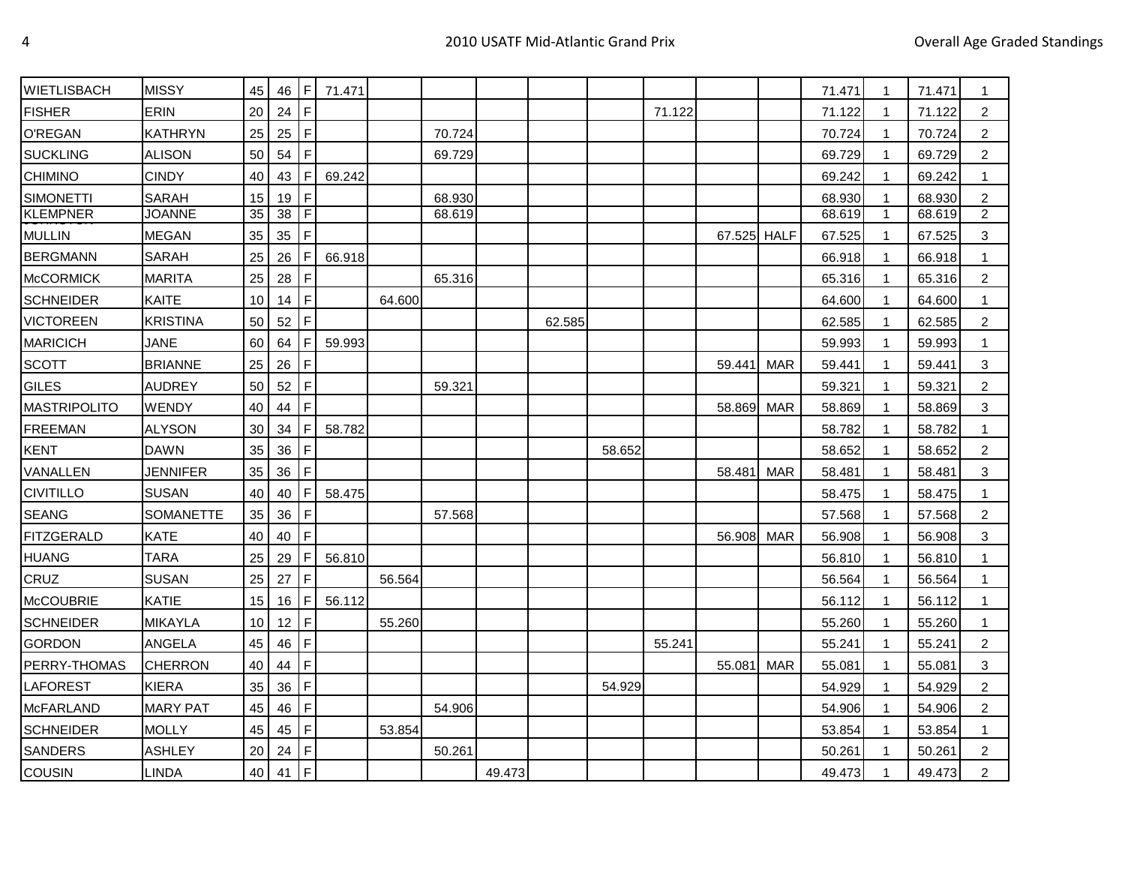| <b>WIETLISBACH</b> | <b>MISSY</b>    | 45 | 46     | IF.         | 71.471 |        |        |        |        |        |        |             |            | 71.471 | $\mathbf{1}$   | 71.471 | 1              |
|--------------------|-----------------|----|--------|-------------|--------|--------|--------|--------|--------|--------|--------|-------------|------------|--------|----------------|--------|----------------|
| <b>FISHER</b>      | ERIN            | 20 | 24     | F           |        |        |        |        |        |        | 71.122 |             |            | 71.122 | $\mathbf{1}$   | 71.122 | $\overline{c}$ |
| O'REGAN            | <b>KATHRYN</b>  | 25 | 25     | IF.         |        |        | 70.724 |        |        |        |        |             |            | 70.724 | -1             | 70.724 | $\overline{2}$ |
| <b>SUCKLING</b>    | ALISON          | 50 | 54     | F           |        |        | 69.729 |        |        |        |        |             |            | 69.729 | 1              | 69.729 | $\overline{c}$ |
| <b>CHIMINO</b>     | <b>CINDY</b>    | 40 | 43     | F           | 69.242 |        |        |        |        |        |        |             |            | 69.242 | $\mathbf 1$    | 69.242 | 1              |
| <b>SIMONETTI</b>   | <b>SARAH</b>    | 15 | 19     | IF.         |        |        | 68.930 |        |        |        |        |             |            | 68.930 |                | 68.930 | $\overline{c}$ |
| <b>KLEMPNER</b>    | <b>JOANNE</b>   | 35 | 38     | TF          |        |        | 68.619 |        |        |        |        |             |            | 68.619 | $\mathbf{1}$   | 68.619 | $\overline{2}$ |
| <b>MULLIN</b>      | <b>MEGAN</b>    | 35 | 35     | F           |        |        |        |        |        |        |        | 67.525 HALF |            | 67.525 | $\mathbf 1$    | 67.525 | 3              |
| <b>BERGMANN</b>    | <b>SARAH</b>    | 25 | 26     | ١F          | 66.918 |        |        |        |        |        |        |             |            | 66.918 | 1              | 66.918 | $\mathbf 1$    |
| <b>McCORMICK</b>   | <b>MARITA</b>   | 25 | 28     | IF.         |        |        | 65.316 |        |        |        |        |             |            | 65.316 | -1             | 65.316 | $\overline{c}$ |
| <b>SCHNEIDER</b>   | <b>KAITE</b>    | 10 | 14     | IF.         |        | 64.600 |        |        |        |        |        |             |            | 64.600 | $\overline{1}$ | 64.600 | $\mathbf{1}$   |
| <b>VICTOREEN</b>   | <b>KRISTINA</b> | 50 | 52     | IF.         |        |        |        |        | 62.585 |        |        |             |            | 62.585 | -1             | 62.585 | $\overline{c}$ |
| <b>MARICICH</b>    | <b>JANE</b>     | 60 | 64     | IF          | 59.993 |        |        |        |        |        |        |             |            | 59.993 | $\mathbf 1$    | 59.993 | $\mathbf{1}$   |
| <b>SCOTT</b>       | <b>BRIANNE</b>  | 25 | 26     | <b>IF</b>   |        |        |        |        |        |        |        | 59.441      | <b>MAR</b> | 59.441 | -1             | 59.441 | 3              |
| <b>GILES</b>       | <b>AUDREY</b>   | 50 | 52     | F           |        |        | 59.321 |        |        |        |        |             |            | 59.321 | $\mathbf 1$    | 59.321 | $\overline{c}$ |
| MASTRIPOLITO       | WENDY           | 40 | 44     | I۴          |        |        |        |        |        |        |        | 58.869      | <b>MAR</b> | 58.869 | 1              | 58.869 | 3              |
| <b>FREEMAN</b>     | <b>ALYSON</b>   | 30 | 34     | IF.         | 58.782 |        |        |        |        |        |        |             |            | 58.782 | -1             | 58.782 |                |
| <b>KENT</b>        | <b>DAWN</b>     | 35 | 36     | F           |        |        |        |        |        | 58.652 |        |             |            | 58.652 | -1             | 58.652 | $\overline{c}$ |
| VANALLEN           | <b>JENNIFER</b> | 35 | 36     | IF.         |        |        |        |        |        |        |        | 58.481      | <b>MAR</b> | 58.481 | -1             | 58.481 | 3              |
| <b>CIVITILLO</b>   | <b>SUSAN</b>    | 40 | 40     | l F         | 58.475 |        |        |        |        |        |        |             |            | 58.475 | -1             | 58.475 | 1              |
| <b>SEANG</b>       | SOMANETTE       | 35 | 36     | $\mathsf F$ |        |        | 57.568 |        |        |        |        |             |            | 57.568 | -1             | 57.568 | $\overline{c}$ |
| <b>FITZGERALD</b>  | <b>KATE</b>     | 40 | 40     | IF.         |        |        |        |        |        |        |        | 56.908      | MAR        | 56.908 | $\mathbf 1$    | 56.908 | 3              |
| <b>HUANG</b>       | <b>TARA</b>     | 25 | 29     | IF          | 56.810 |        |        |        |        |        |        |             |            | 56.810 | -1             | 56.810 | $\mathbf 1$    |
| CRUZ               | <b>SUSAN</b>    | 25 | 27     | IF          |        | 56.564 |        |        |        |        |        |             |            | 56.564 | -1             | 56.564 |                |
| <b>McCOUBRIE</b>   | <b>KATIE</b>    | 15 | 16     | IF.         | 56.112 |        |        |        |        |        |        |             |            | 56.112 | $\mathbf{1}$   | 56.112 | $\mathbf{1}$   |
| <b>SCHNEIDER</b>   | MIKAYLA         | 10 | 12 $F$ |             |        | 55.260 |        |        |        |        |        |             |            | 55.260 | -1             | 55.260 | 1              |
| <b>GORDON</b>      | <b>ANGELA</b>   | 45 | 46     | IF.         |        |        |        |        |        |        | 55.241 |             |            | 55.241 | -1             | 55.241 | $\overline{c}$ |
| PERRY-THOMAS       | <b>CHERRON</b>  | 40 | 44     | IF.         |        |        |        |        |        |        |        | 55.081      | <b>MAR</b> | 55.081 | -1             | 55.081 | 3              |
| <b>LAFOREST</b>    | <b>KIERA</b>    | 35 | 36     | F           |        |        |        |        |        | 54.929 |        |             |            | 54.929 | $\mathbf 1$    | 54.929 | $\overline{c}$ |
| <b>McFARLAND</b>   | <b>MARY PAT</b> | 45 | 46     | 1F          |        |        | 54.906 |        |        |        |        |             |            | 54.906 | -1             | 54.906 | $\overline{2}$ |
| <b>SCHNEIDER</b>   | <b>MOLLY</b>    | 45 | 45     | IF.         |        | 53.854 |        |        |        |        |        |             |            | 53.854 | -1             | 53.854 | 1              |
| <b>SANDERS</b>     | <b>ASHLEY</b>   | 20 | 24     | F           |        |        | 50.261 |        |        |        |        |             |            | 50.261 | $\mathbf 1$    | 50.261 | $\overline{c}$ |
| COUSIN             | <b>LINDA</b>    | 40 | 41 $F$ |             |        |        |        | 49.473 |        |        |        |             |            | 49.473 | 1              | 49.473 | $\overline{2}$ |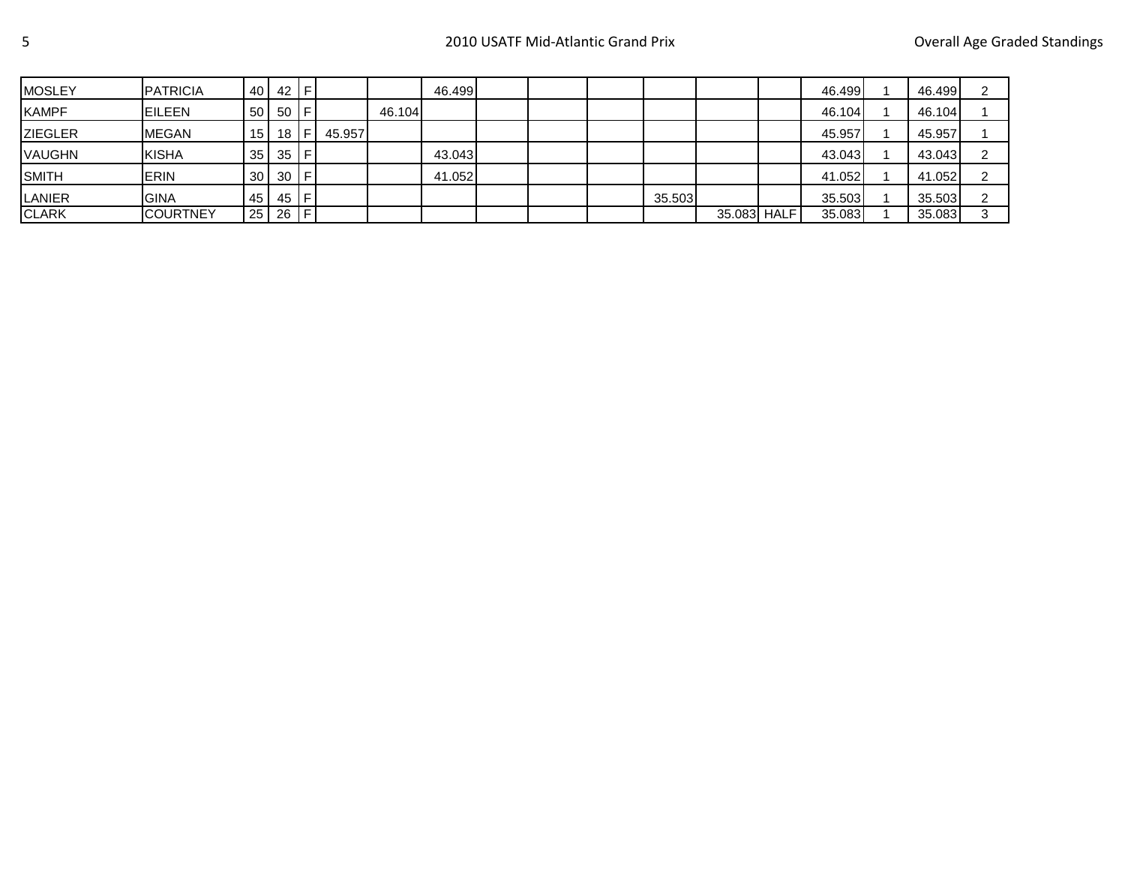| <b>MOSLEY</b>  | <b>PATRICIA</b> |                 | 40 42 F   |     |        |        | 46.499 |  |        |             | 46.499 | 46.499 |  |
|----------------|-----------------|-----------------|-----------|-----|--------|--------|--------|--|--------|-------------|--------|--------|--|
| <b>KAMPF</b>   | <b>EILEEN</b>   |                 | 50 50     | -IF |        | 46.104 |        |  |        |             | 46.104 | 46.104 |  |
| <b>ZIEGLER</b> | <b>MEGAN</b>    | 15 <sup>1</sup> | 18        | ΙF  | 45.957 |        |        |  |        |             | 45.957 | 45.957 |  |
| <b>VAUGHN</b>  | <b>KISHA</b>    |                 | $35$ 35 F |     |        |        | 43.043 |  |        |             | 43.043 | 43.043 |  |
| <b>SMITH</b>   | <b>ERIN</b>     |                 | $30$ 30 F |     |        |        | 41.052 |  |        |             | 41.052 | 41.052 |  |
| <b>LANIER</b>  | <b>GINA</b>     |                 | 45 45 F   |     |        |        |        |  | 35.503 |             | 35.503 | 35.503 |  |
| <b>CLARK</b>   | <b>COURTNEY</b> |                 | 25 26 F   |     |        |        |        |  |        | 35.083 HALF | 35.083 | 35.083 |  |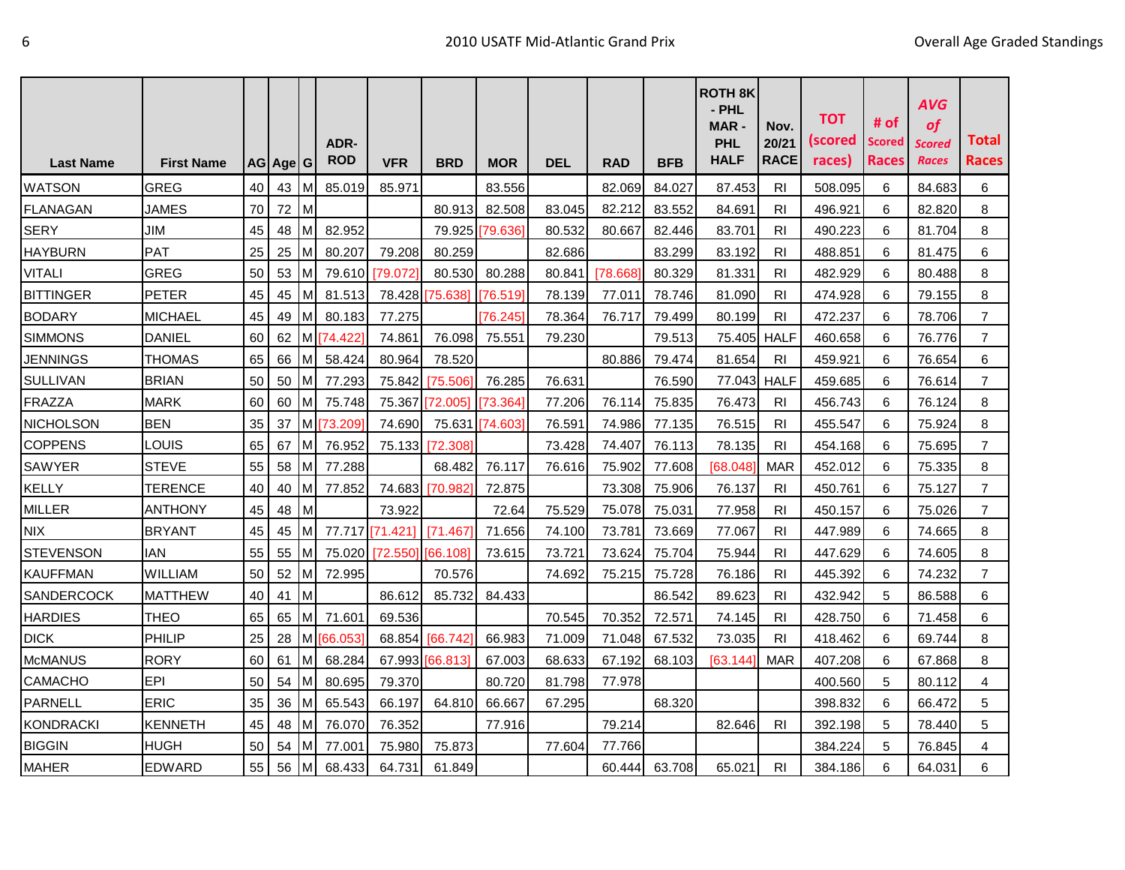|                  |                   |    |          |                | ADR-       |                   |                 |                 |            |            |            | <b>ROTH 8K</b><br>- PHL<br>MAR-<br><b>PHL</b> | Nov.<br>20/21  | <b>TOT</b><br>(scored | # of<br><b>Scored</b> | <b>AVG</b><br>of<br><b>Scored</b> | Total          |
|------------------|-------------------|----|----------|----------------|------------|-------------------|-----------------|-----------------|------------|------------|------------|-----------------------------------------------|----------------|-----------------------|-----------------------|-----------------------------------|----------------|
| <b>Last Name</b> | <b>First Name</b> |    | AG Age G |                | <b>ROD</b> | <b>VFR</b>        | <b>BRD</b>      | <b>MOR</b>      | <b>DEL</b> | <b>RAD</b> | <b>BFB</b> | <b>HALF</b>                                   | <b>RACE</b>    | races)                | <b>Races</b>          | <b>Races</b>                      | <b>Races</b>   |
| <b>WATSON</b>    | <b>GREG</b>       | 40 | 43       | M              | 85.019     | 85.971            |                 | 83.556          |            | 82.069     | 84.027     | 87.453                                        | R <sub>l</sub> | 508.095               | 6                     | 84.683                            | 6              |
| <b>FLANAGAN</b>  | JAMES             | 70 | 72       | $\mathsf{I}$ M |            |                   | 80.913          | 82.508          | 83.045     | 82.212     | 83.552     | 84.691                                        | RI             | 496.921               | 6                     | 82.820                            | 8              |
| <b>SERY</b>      | JIM               | 45 | 48       | M              | 82.952     |                   |                 | 79.925 [79.636] | 80.532     | 80.667     | 82.446     | 83.701                                        | R <sub>l</sub> | 490.223               | 6                     | 81.704                            | 8              |
| <b>HAYBURN</b>   | PAT               | 25 | 25       | M              | 80.207     | 79.208            | 80.259          |                 | 82.686     |            | 83.299     | 83.192                                        | RI             | 488.851               | 6                     | 81.475                            | 6              |
| <b>VITALI</b>    | <b>GREG</b>       | 50 | 53 M     |                | 79.610     | [79.072]          | 80.530          | 80.288          | 80.841     | 78.6681    | 80.329     | 81.331                                        | R <sub>l</sub> | 482.929               | 6                     | 80.488                            | 8              |
| <b>BITTINGER</b> | <b>PETER</b>      | 45 | 45       | M              | 81.513     | 78.428            | [75.638]        | [76.519]        | 78.139     | 77.011     | 78.746     | 81.090                                        | RI             | 474.928               | 6                     | 79.155                            | 8              |
| <b>BODARY</b>    | <b>MICHAEL</b>    | 45 | 49       | M              | 80.183     | 77.275            |                 | [76.245]        | 78.364     | 76.717     | 79.499     | 80.199                                        | RI             | 472.237               | 6                     | 78.706                            | $\overline{7}$ |
| <b>SIMMONS</b>   | <b>DANIEL</b>     | 60 | 62       | M              | [74.422]   | 74.861            | 76.098          | 75.551          | 79.230     |            | 79.513     | 75.405 HALF                                   |                | 460.658               | 6                     | 76.776                            | $\overline{7}$ |
| <b>JENNINGS</b>  | <b>THOMAS</b>     | 65 | 66       | M              | 58.424     | 80.964            | 78.520          |                 |            | 80.886     | 79.474     | 81.654                                        | RI             | 459.921               | 6                     | 76.654                            | 6              |
| <b>SULLIVAN</b>  | <b>BRIAN</b>      | 50 | 50       | M              | 77.293     | 75.842            | [75.506]        | 76.285          | 76.631     |            | 76.590     | 77.043 HALF                                   |                | 459.685               | 6                     | 76.614                            | $\overline{7}$ |
| <b>FRAZZA</b>    | <b>MARK</b>       | 60 | 60       | M              | 75.748     | 75.367            | [72.005]        | [73.364]        | 77.206     | 76.114     | 75.835     | 76.473                                        | <b>RI</b>      | 456.743               | 6                     | 76.124                            | 8              |
| <b>NICHOLSON</b> | <b>BEN</b>        | 35 | 37       |                | M [73.209] | 74.690            | 75.631          | [74.603]        | 76.591     | 74.986     | 77.135     | 76.515                                        | RI             | 455.547               | 6                     | 75.924                            | 8              |
| <b>COPPENS</b>   | LOUIS             | 65 | 67       | M              | 76.952     | 75.133            | [72.308]        |                 | 73.428     | 74.407     | 76.113     | 78.135                                        | R <sub>l</sub> | 454.168               | 6                     | 75.695                            | $\overline{7}$ |
| SAWYER           | <b>STEVE</b>      | 55 | 58       | M              | 77.288     |                   | 68.482          | 76.117          | 76.616     | 75.902     | 77.608     | [68.048]                                      | <b>MAR</b>     | 452.012               | 6                     | 75.335                            | 8              |
| <b>KELLY</b>     | <b>TERENCE</b>    | 40 | 40       | M              | 77.852     | 74.683            | [70.982]        | 72.875          |            | 73.308     | 75.906     | 76.137                                        | RI             | 450.761               | 6                     | 75.127                            | $\overline{7}$ |
| <b>MILLER</b>    | <b>ANTHONY</b>    | 45 | 48       | M              |            | 73.922            |                 | 72.64           | 75.529     | 75.078     | 75.031     | 77.958                                        | R <sub>l</sub> | 450.157               | 6                     | 75.026                            | $\overline{7}$ |
| <b>NIX</b>       | <b>BRYANT</b>     | 45 | 45       | M              |            | 77.717 [71.421]   | [71.467]        | 71.656          | 74.100     | 73.781     | 73.669     | 77.067                                        | RI             | 447.989               | 6                     | 74.665                            | 8              |
| <b>STEVENSON</b> | <b>IAN</b>        | 55 | 55       | M              | 75.020     | [72.550] [66.108] |                 | 73.615          | 73.721     | 73.624     | 75.704     | 75.944                                        | R <sub>l</sub> | 447.629               | 6                     | 74.605                            | 8              |
| <b>KAUFFMAN</b>  | <b>WILLIAM</b>    | 50 | 52       | M              | 72.995     |                   | 70.576          |                 | 74.692     | 75.215     | 75.728     | 76.186                                        | RI             | 445.392               | 6                     | 74.232                            | $\overline{7}$ |
| SANDERCOCK       | <b>MATTHEW</b>    | 40 | 41       | M              |            | 86.612            | 85.732          | 84.433          |            |            | 86.542     | 89.623                                        | RI             | 432.942               | 5                     | 86.588                            | 6              |
| <b>HARDIES</b>   | <b>THEO</b>       | 65 | 65       | M              | 71.601     | 69.536            |                 |                 | 70.545     | 70.352     | 72.571     | 74.145                                        | RI             | 428.750               | 6                     | 71.458                            | 6              |
| <b>DICK</b>      | PHILIP            | 25 | 28       |                | M [66.053] | 68.854            | [66.742]        | 66.983          | 71.009     | 71.048     | 67.532     | 73.035                                        | R <sub>l</sub> | 418.462               | 6                     | 69.744                            | 8              |
| <b>McMANUS</b>   | <b>RORY</b>       | 60 | 61       | M              | 68.284     |                   | 67.993 [66.813] | 67.003          | 68.633     | 67.192     | 68.103     | [63.144]                                      | <b>MAR</b>     | 407.208               | 6                     | 67.868                            | 8              |
| CAMACHO          | <b>EPI</b>        | 50 | 54       | M              | 80.695     | 79.370            |                 | 80.720          | 81.798     | 77.978     |            |                                               |                | 400.560               | 5                     | 80.112                            | 4              |
| <b>PARNELL</b>   | <b>ERIC</b>       | 35 | 36       | M              | 65.543     | 66.197            | 64.810          | 66.667          | 67.295     |            | 68.320     |                                               |                | 398.832               | 6                     | 66.472                            | 5              |
| <b>KONDRACKI</b> | <b>KENNETH</b>    | 45 | 48       | M              | 76.070     | 76.352            |                 | 77.916          |            | 79.214     |            | 82.646                                        | R <sub>l</sub> | 392.198               | 5                     | 78.440                            | 5              |
| <b>BIGGIN</b>    | <b>HUGH</b>       | 50 | 54       | M              | 77.001     | 75.980            | 75.873          |                 | 77.604     | 77.766     |            |                                               |                | 384.224               | 5                     | 76.845                            | 4              |
| <b>MAHER</b>     | <b>EDWARD</b>     | 55 | 56 M     |                | 68.433     | 64.731            | 61.849          |                 |            | 60.444     | 63.708     | 65.021                                        | R <sub>l</sub> | 384.186               | 6                     | 64.031                            | 6              |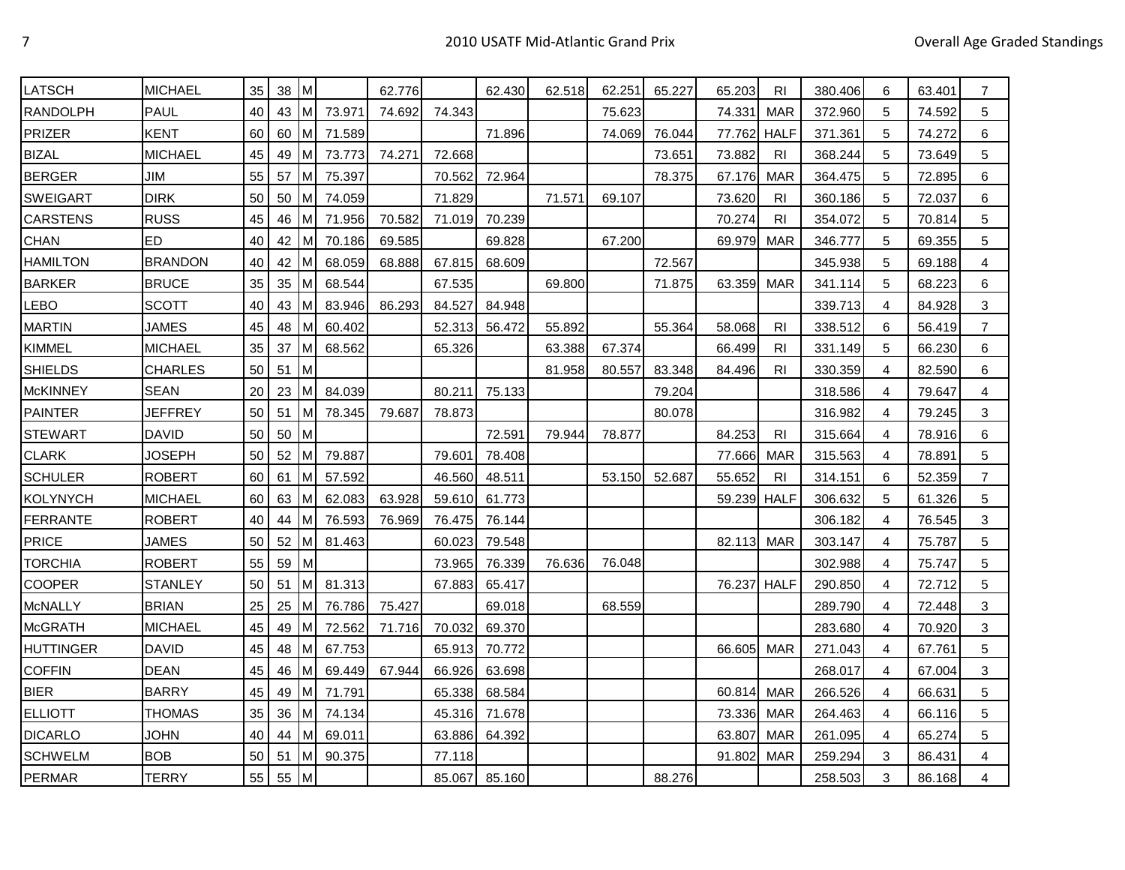| LATSCH           | <b>MICHAEL</b> | 35 | 38     | ıм  |        | 62.776 |        | 62.430 | 62.518 | 62.251 | 65.227 | 65.203      | RI             | 380.406 | 6 | 63.401 | 7              |
|------------------|----------------|----|--------|-----|--------|--------|--------|--------|--------|--------|--------|-------------|----------------|---------|---|--------|----------------|
| <b>RANDOLPH</b>  | <b>PAUL</b>    | 40 | 43     | Iм  | 73.971 | 74.692 | 74.343 |        |        | 75.623 |        | 74.331      | <b>MAR</b>     | 372.960 | 5 | 74.592 | 5              |
| <b>PRIZER</b>    | <b>KENT</b>    | 60 | 60     | IΜ  | 71.589 |        |        | 71.896 |        | 74.069 | 76.044 | 77.762      | <b>HALF</b>    | 371.361 | 5 | 74.272 | 6              |
| <b>BIZAL</b>     | MICHAEL        | 45 | 49     | Iм  | 73.773 | 74.271 | 72.668 |        |        |        | 73.651 | 73.882      | <b>RI</b>      | 368.244 | 5 | 73.649 | 5              |
| <b>BERGER</b>    | JIM            | 55 | 57     | Iм  | 75.397 |        | 70.562 | 72.964 |        |        | 78.375 | 67.176      | <b>MAR</b>     | 364.475 | 5 | 72.895 | 6              |
| <b>SWEIGART</b>  | <b>DIRK</b>    | 50 | 50     | IΜ  | 74.059 |        | 71.829 |        | 71.571 | 69.107 |        | 73.620      | RI             | 360.186 | 5 | 72.037 | 6              |
| <b>CARSTENS</b>  | <b>RUSS</b>    | 45 | 46     | M   | 71.956 | 70.582 | 71.019 | 70.239 |        |        |        | 70.274      | <b>RI</b>      | 354.072 | 5 | 70.814 | 5              |
| <b>CHAN</b>      | ED             | 40 | 42     | Iм  | 70.186 | 69.585 |        | 69.828 |        | 67.200 |        | 69.979      | <b>MAR</b>     | 346.777 | 5 | 69.355 | 5              |
| <b>HAMILTON</b>  | <b>BRANDON</b> | 40 | 42     | ıм  | 68.059 | 68.888 | 67.815 | 68.609 |        |        | 72.567 |             |                | 345.938 | 5 | 69.188 | 4              |
| <b>BARKER</b>    | <b>BRUCE</b>   | 35 | 35     | ıм  | 68.544 |        | 67.535 |        | 69.800 |        | 71.875 | 63.359      | MAR            | 341.114 | 5 | 68.223 | 6              |
| LEBO             | SCOTT          | 40 | 43     | Iм  | 83.946 | 86.293 | 84.527 | 84.948 |        |        |        |             |                | 339.713 | 4 | 84.928 | 3              |
| <b>MARTIN</b>    | JAMES          | 45 | 48     | Iм  | 60.402 |        | 52.313 | 56.472 | 55.892 |        | 55.364 | 58.068      | RI.            | 338.512 | 6 | 56.419 | 7              |
| <b>KIMMEL</b>    | <b>MICHAEL</b> | 35 | 37     | Iм  | 68.562 |        | 65.326 |        | 63.388 | 67.374 |        | 66.499      | <b>RI</b>      | 331.149 | 5 | 66.230 | 6              |
| <b>SHIELDS</b>   | CHARLES        | 50 | 51     | Iм  |        |        |        |        | 81.958 | 80.557 | 83.348 | 84.496      | <b>RI</b>      | 330.359 | 4 | 82.590 | 6              |
| <b>McKINNEY</b>  | SEAN           | 20 | 23     | Iм  | 84.039 |        | 80.211 | 75.133 |        |        | 79.204 |             |                | 318.586 | 4 | 79.647 | 4              |
| <b>PAINTER</b>   | <b>JEFFREY</b> | 50 | 51     | M   | 78.345 | 79.687 | 78.873 |        |        |        | 80.078 |             |                | 316.982 | 4 | 79.245 | 3              |
| <b>STEWART</b>   | <b>DAVID</b>   | 50 | 50     | Iм  |        |        |        | 72.591 | 79.944 | 78.877 |        | 84.253      | <b>RI</b>      | 315.664 | 4 | 78.916 | 6              |
| <b>CLARK</b>     | <b>JOSEPH</b>  | 50 | 52     | Iм  | 79.887 |        | 79.601 | 78.408 |        |        |        | 77.666      | MAR            | 315.563 | 4 | 78.891 | 5              |
| <b>SCHULER</b>   | <b>ROBERT</b>  | 60 | 61     | ıм  | 57.592 |        | 46.560 | 48.511 |        | 53.150 | 52.687 | 55.652      | R <sub>l</sub> | 314.151 | 6 | 52.359 | 7              |
| <b>KOLYNYCH</b>  | <b>MICHAEL</b> | 60 | 63     | ıм  | 62.083 | 63.928 | 59.610 | 61.773 |        |        |        | 59.239 HALF |                | 306.632 | 5 | 61.326 | 5              |
| <b>FERRANTE</b>  | <b>ROBERT</b>  | 40 | 44     | IM. | 76.593 | 76.969 | 76.475 | 76.144 |        |        |        |             |                | 306.182 | 4 | 76.545 | 3              |
| <b>PRICE</b>     | <b>JAMES</b>   | 50 | 52     | IМ  | 81.463 |        | 60.023 | 79.548 |        |        |        | 82.113      | MAR            | 303.147 | 4 | 75.787 | 5              |
| <b>TORCHIA</b>   | <b>ROBERT</b>  | 55 | 59     | lм  |        |        | 73.965 | 76.339 | 76.636 | 76.048 |        |             |                | 302.988 | 4 | 75.747 | 5              |
| <b>COOPER</b>    | <b>STANLEY</b> | 50 | 51     | Iм  | 81.313 |        | 67.883 | 65.417 |        |        |        | 76.237 HALF |                | 290.850 | 4 | 72.712 | 5              |
| <b>McNALLY</b>   | <b>BRIAN</b>   | 25 | 25     | IΜ  | 76.786 | 75.427 |        | 69.018 |        | 68.559 |        |             |                | 289.790 | 4 | 72.448 | 3              |
| <b>McGRATH</b>   | MICHAEL        | 45 | 49     | ıм  | 72.562 | 71.716 | 70.032 | 69.370 |        |        |        |             |                | 283.680 | 4 | 70.920 | 3              |
| <b>HUTTINGER</b> | DAVID          | 45 | 48     | Iм  | 67.753 |        | 65.913 | 70.772 |        |        |        | 66.605      | <b>MAR</b>     | 271.043 | 4 | 67.761 | 5              |
| <b>COFFIN</b>    | <b>DEAN</b>    | 45 | 46     | ıм  | 69.449 | 67.944 | 66.926 | 63.698 |        |        |        |             |                | 268.017 | 4 | 67.004 | 3              |
| <b>BIER</b>      | <b>BARRY</b>   | 45 | 49     | ıм  | 71.791 |        | 65.338 | 68.584 |        |        |        | 60.814      | <b>MAR</b>     | 266.526 | 4 | 66.631 | 5              |
| <b>ELLIOTT</b>   | THOMAS         | 35 | 36     | Iм  | 74.134 |        | 45.316 | 71.678 |        |        |        | 73.336      | MAR            | 264.463 | 4 | 66.116 | 5              |
| <b>DICARLO</b>   | <b>JOHN</b>    | 40 | 44     | Iм  | 69.011 |        | 63.886 | 64.392 |        |        |        | 63.807      | <b>MAR</b>     | 261.095 | 4 | 65.274 | 5              |
| <b>SCHWELM</b>   | <b>BOB</b>     | 50 | 51     | M   | 90.375 |        | 77.118 |        |        |        |        | 91.802      | <b>MAR</b>     | 259.294 | 3 | 86.431 | 4              |
| <b>PERMAR</b>    | <b>TERRY</b>   | 55 | $55$ M |     |        |        | 85.067 | 85.160 |        |        | 88.276 |             |                | 258.503 | 3 | 86.168 | $\overline{4}$ |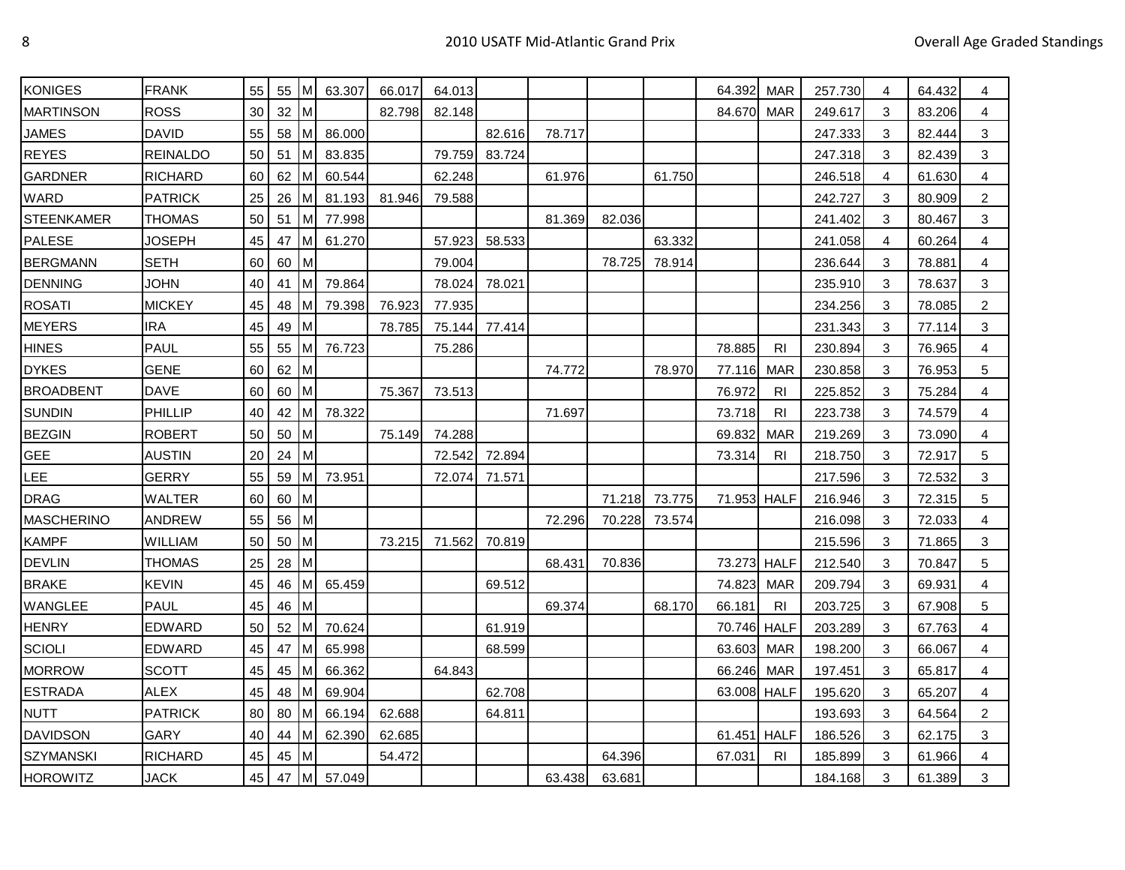| <b>KONIGES</b>    | <b>FRANK</b>    | 55 | 55   | ıм           | 63.307 | 66.017 | 64.013 |        |        |        |        | 64.392      | <b>MAR</b>     | 257.730 | 4 | 64.432 | 4              |
|-------------------|-----------------|----|------|--------------|--------|--------|--------|--------|--------|--------|--------|-------------|----------------|---------|---|--------|----------------|
| <b>MARTINSON</b>  | <b>ROSS</b>     | 30 | 32   | Iм           |        | 82.798 | 82.148 |        |        |        |        | 84.670      | <b>MAR</b>     | 249.617 | 3 | 83.206 | 4              |
| <b>JAMES</b>      | <b>DAVID</b>    | 55 | 58   | Iм           | 86.000 |        |        | 82.616 | 78.717 |        |        |             |                | 247.333 | 3 | 82.444 | 3              |
| <b>REYES</b>      | <b>REINALDO</b> | 50 | 51   | Iм           | 83.835 |        | 79.759 | 83.724 |        |        |        |             |                | 247.318 | 3 | 82.439 | 3              |
| <b>GARDNER</b>    | <b>RICHARD</b>  | 60 | 62   | IM.          | 60.544 |        | 62.248 |        | 61.976 |        | 61.750 |             |                | 246.518 | 4 | 61.630 | 4              |
| WARD              | <b>PATRICK</b>  | 25 | 26   | ΙM           | 81.193 | 81.946 | 79.588 |        |        |        |        |             |                | 242.727 | 3 | 80.909 | 2              |
| <b>STEENKAMER</b> | <b>THOMAS</b>   | 50 | 51   | lм           | 77.998 |        |        |        | 81.369 | 82.036 |        |             |                | 241.402 | 3 | 80.467 | 3              |
| PALESE            | JOSEPH          | 45 | 47   | Iм           | 61.270 |        | 57.923 | 58.533 |        |        | 63.332 |             |                | 241.058 | 4 | 60.264 | 4              |
| <b>BERGMANN</b>   | <b>SETH</b>     | 60 | 60   | lм           |        |        | 79.004 |        |        | 78.725 | 78.914 |             |                | 236.644 | 3 | 78.881 | 4              |
| <b>DENNING</b>    | <b>JOHN</b>     | 40 | 41   | Iм           | 79.864 |        | 78.024 | 78.021 |        |        |        |             |                | 235.910 | 3 | 78.637 | 3              |
| <b>ROSATI</b>     | <b>MICKEY</b>   | 45 | 48   | Iм           | 79.398 | 76.923 | 77.935 |        |        |        |        |             |                | 234.256 | 3 | 78.085 | $\overline{c}$ |
| <b>MEYERS</b>     | <b>IRA</b>      | 45 | 49   | IМ           |        | 78.785 | 75.144 | 77.414 |        |        |        |             |                | 231.343 | 3 | 77.114 | 3              |
| <b>HINES</b>      | <b>PAUL</b>     | 55 | 55   | ıм           | 76.723 |        | 75.286 |        |        |        |        | 78.885      | R <sub>l</sub> | 230.894 | 3 | 76.965 | 4              |
| <b>DYKES</b>      | <b>GENE</b>     | 60 | 62   | $\mathsf{M}$ |        |        |        |        | 74.772 |        | 78.970 | 77.116      | MAR            | 230.858 | 3 | 76.953 | 5              |
| <b>BROADBENT</b>  | <b>DAVE</b>     | 60 | 60   | ıм           |        | 75.367 | 73.513 |        |        |        |        | 76.972      | R <sub>l</sub> | 225.852 | 3 | 75.284 | $\overline{4}$ |
| <b>SUNDIN</b>     | PHILLIP         | 40 | 42   | Iм           | 78.322 |        |        |        | 71.697 |        |        | 73.718      | <b>RI</b>      | 223.738 | 3 | 74.579 | 4              |
| <b>BEZGIN</b>     | <b>ROBERT</b>   | 50 | 50   | Iм           |        | 75.149 | 74.288 |        |        |        |        | 69.832      | <b>MAR</b>     | 219.269 | 3 | 73.090 | 4              |
| <b>GEE</b>        | <b>AUSTIN</b>   | 20 | 24   | Iм           |        |        | 72.542 | 72.894 |        |        |        | 73.314      | <b>RI</b>      | 218.750 | 3 | 72.917 | 5              |
| <b>LEE</b>        | <b>GERRY</b>    | 55 | 59   | Iм           | 73.951 |        | 72.074 | 71.571 |        |        |        |             |                | 217.596 | 3 | 72.532 | 3              |
| <b>DRAG</b>       | WALTER          | 60 | 60   | Iм           |        |        |        |        |        | 71.218 | 73.775 | 71.953 HALF |                | 216.946 | 3 | 72.315 | 5              |
| <b>MASCHERINO</b> | <b>ANDREW</b>   | 55 | 56   | IМ           |        |        |        |        | 72.296 | 70.228 | 73.574 |             |                | 216.098 | 3 | 72.033 | 4              |
| <b>KAMPF</b>      | WILLIAM         | 50 | 50   | Iм           |        | 73.215 | 71.562 | 70.819 |        |        |        |             |                | 215.596 | 3 | 71.865 | 3              |
| <b>DEVLIN</b>     | THOMAS          | 25 | 28   | Iм           |        |        |        |        | 68.431 | 70.836 |        | 73.273 HALF |                | 212.540 | 3 | 70.847 | 5              |
| <b>BRAKE</b>      | <b>KEVIN</b>    | 45 | 46   | Iм           | 65.459 |        |        | 69.512 |        |        |        | 74.823      | MAR            | 209.794 | 3 | 69.931 | 4              |
| WANGLEE           | <b>PAUL</b>     | 45 | 46   | Iм           |        |        |        |        | 69.374 |        | 68.170 | 66.181      | <b>RI</b>      | 203.725 | 3 | 67.908 | 5              |
| <b>HENRY</b>      | <b>EDWARD</b>   | 50 | 52   | Iм           | 70.624 |        |        | 61.919 |        |        |        | 70.746 HALF |                | 203.289 | 3 | 67.763 | 4              |
| <b>SCIOLI</b>     | EDWARD          | 45 | 47   | Iм           | 65.998 |        |        | 68.599 |        |        |        | 63.603      | <b>MAR</b>     | 198.200 | 3 | 66.067 | 4              |
| <b>MORROW</b>     | <b>SCOTT</b>    | 45 | 45   | Iм           | 66.362 |        | 64.843 |        |        |        |        | 66.246      | MAR            | 197.451 | 3 | 65.817 | 4              |
| <b>ESTRADA</b>    | <b>ALEX</b>     | 45 | 48   | Iм           | 69.904 |        |        | 62.708 |        |        |        | 63.008 HALF |                | 195.620 | 3 | 65.207 | 4              |
| <b>NUTT</b>       | <b>PATRICK</b>  | 80 | 80   | Iм           | 66.194 | 62.688 |        | 64.811 |        |        |        |             |                | 193.693 | 3 | 64.564 | 2              |
| <b>DAVIDSON</b>   | <b>GARY</b>     | 40 | 44   | Iм           | 62.390 | 62.685 |        |        |        |        |        | 61.451      | <b>HALF</b>    | 186.526 | 3 | 62.175 | 3              |
| SZYMANSKI         | RICHARD         | 45 | 45   | ıм           |        | 54.472 |        |        |        | 64.396 |        | 67.031      | RI             | 185.899 | 3 | 61.966 | 4              |
| <b>HOROWITZ</b>   | <b>JACK</b>     | 45 | 47 M |              | 57.049 |        |        |        | 63.438 | 63.681 |        |             |                | 184.168 | 3 | 61.389 | 3              |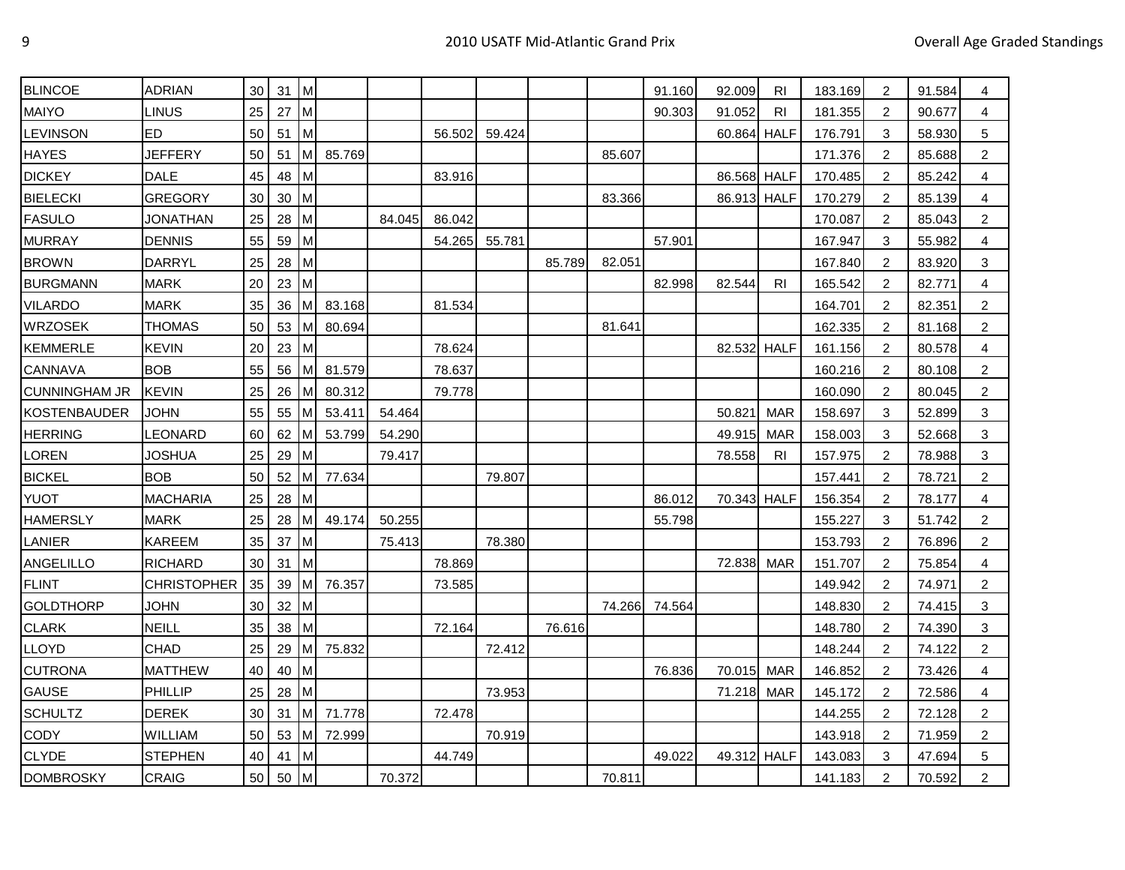| <b>BLINCOE</b>       | <b>ADRIAN</b>      | 30 | 31 | M            |        |        |        |        |        |        | 91.160 | 92.009      | <b>RI</b>  | 183.169 | 2              | 91.584 | 4              |
|----------------------|--------------------|----|----|--------------|--------|--------|--------|--------|--------|--------|--------|-------------|------------|---------|----------------|--------|----------------|
| <b>MAIYO</b>         | <b>LINUS</b>       | 25 | 27 | M            |        |        |        |        |        |        | 90.303 | 91.052      | <b>RI</b>  | 181.355 | 2              | 90.677 | 4              |
| <b>LEVINSON</b>      | ED.                | 50 | 51 | M            |        |        | 56.502 | 59.424 |        |        |        | 60.864 HALF |            | 176.791 | 3              | 58.930 | 5              |
| <b>HAYES</b>         | <b>JEFFERY</b>     | 50 | 51 | <b>M</b>     | 85.769 |        |        |        |        | 85.607 |        |             |            | 171.376 | 2              | 85.688 | 2              |
| <b>DICKEY</b>        | <b>DALE</b>        | 45 | 48 | M            |        |        | 83.916 |        |        |        |        | 86.568 HALF |            | 170.485 | 2              | 85.242 | 4              |
| <b>BIELECKI</b>      | <b>GREGORY</b>     | 30 | 30 | Iм           |        |        |        |        |        | 83.366 |        | 86.913 HALF |            | 170.279 | 2              | 85.139 | 4              |
| <b>FASULO</b>        | <b>JONATHAN</b>    | 25 | 28 | Iм           |        | 84.045 | 86.042 |        |        |        |        |             |            | 170.087 | 2              | 85.043 | 2              |
| <b>MURRAY</b>        | DENNIS             | 55 | 59 | M            |        |        | 54.265 | 55.781 |        |        | 57.901 |             |            | 167.947 | 3              | 55.982 | 4              |
| <b>BROWN</b>         | <b>DARRYL</b>      | 25 | 28 | M            |        |        |        |        | 85.789 | 82.051 |        |             |            | 167.840 | 2              | 83.920 | 3              |
| <b>BURGMANN</b>      | <b>MARK</b>        | 20 | 23 | Iм           |        |        |        |        |        |        | 82.998 | 82.544      | <b>RI</b>  | 165.542 | 2              | 82.771 | 4              |
| <b>VILARDO</b>       | <b>MARK</b>        | 35 | 36 | M            | 83.168 |        | 81.534 |        |        |        |        |             |            | 164.701 | 2              | 82.351 | $\overline{2}$ |
| WRZOSEK              | THOMAS             | 50 | 53 | l M          | 80.694 |        |        |        |        | 81.641 |        |             |            | 162.335 | 2              | 81.168 | 2              |
| <b>KEMMERLE</b>      | <b>KEVIN</b>       | 20 | 23 | M            |        |        | 78.624 |        |        |        |        | 82.532 HALF |            | 161.156 | 2              | 80.578 | 4              |
| CANNAVA              | <b>BOB</b>         | 55 | 56 | IМ           | 81.579 |        | 78.637 |        |        |        |        |             |            | 160.216 | 2              | 80.108 | $\overline{2}$ |
| <b>CUNNINGHAM JR</b> | <b>KEVIN</b>       | 25 | 26 | M            | 80.312 |        | 79.778 |        |        |        |        |             |            | 160.090 | 2              | 80.045 | 2              |
| <b>KOSTENBAUDER</b>  | <b>JOHN</b>        | 55 | 55 | ıм           | 53.411 | 54.464 |        |        |        |        |        | 50.821      | <b>MAR</b> | 158.697 | 3              | 52.899 | 3              |
| <b>HERRING</b>       | LEONARD            | 60 | 62 | IM.          | 53.799 | 54.290 |        |        |        |        |        | 49.915      | <b>MAR</b> | 158.003 | 3              | 52.668 | 3              |
| <b>LOREN</b>         | <b>JOSHUA</b>      | 25 | 29 | Iм           |        | 79.417 |        |        |        |        |        | 78.558      | RI         | 157.975 | $\overline{2}$ | 78.988 | 3              |
| <b>BICKEL</b>        | <b>BOB</b>         | 50 | 52 | Iм           | 77.634 |        |        | 79.807 |        |        |        |             |            | 157.441 | 2              | 78.721 | $\overline{c}$ |
| <b>YUOT</b>          | <b>MACHARIA</b>    | 25 | 28 | Iм           |        |        |        |        |        |        | 86.012 | 70.343 HALF |            | 156.354 | $\overline{2}$ | 78.177 | 4              |
| <b>HAMERSLY</b>      | <b>MARK</b>        | 25 | 28 | ıм           | 49.174 | 50.255 |        |        |        |        | 55.798 |             |            | 155.227 | 3              | 51.742 | $\overline{2}$ |
| LANIER               | <b>KAREEM</b>      | 35 | 37 | M            |        | 75.413 |        | 78.380 |        |        |        |             |            | 153.793 | 2              | 76.896 | $\overline{c}$ |
| ANGELILLO            | <b>RICHARD</b>     | 30 | 31 | M            |        |        | 78.869 |        |        |        |        | 72.838      | <b>MAR</b> | 151.707 | 2              | 75.854 | $\overline{4}$ |
| <b>FLINT</b>         | <b>CHRISTOPHER</b> | 35 | 39 | M            | 76.357 |        | 73.585 |        |        |        |        |             |            | 149.942 | $\overline{2}$ | 74.971 | 2              |
| <b>GOLDTHORP</b>     | <b>JOHN</b>        | 30 | 32 | M            |        |        |        |        |        | 74.266 | 74.564 |             |            | 148.830 | 2              | 74.415 | 3              |
| <b>CLARK</b>         | <b>NEILL</b>       | 35 | 38 | Iм           |        |        | 72.164 |        | 76.616 |        |        |             |            | 148.780 | 2              | 74.390 | 3              |
| LLOYD                | <b>CHAD</b>        | 25 | 29 | ıм           | 75.832 |        |        | 72.412 |        |        |        |             |            | 148.244 | 2              | 74.122 | 2              |
| <b>CUTRONA</b>       | <b>MATTHEW</b>     | 40 | 40 | Iм           |        |        |        |        |        |        | 76.836 | 70.015      | <b>MAR</b> | 146.852 | 2              | 73.426 | $\overline{4}$ |
| <b>GAUSE</b>         | PHILLIP            | 25 | 28 | M            |        |        |        | 73.953 |        |        |        | 71.218      | <b>MAR</b> | 145.172 | $\overline{2}$ | 72.586 | 4              |
| <b>SCHULTZ</b>       | <b>DEREK</b>       | 30 | 31 | M            | 71.778 |        | 72.478 |        |        |        |        |             |            | 144.255 | 2              | 72.128 | $\overline{c}$ |
| <b>CODY</b>          | WILLIAM            | 50 | 53 | Iм           | 72.999 |        |        | 70.919 |        |        |        |             |            | 143.918 | 2              | 71.959 | $\overline{2}$ |
| <b>CLYDE</b>         | <b>STEPHEN</b>     | 40 | 41 | M            |        |        | 44.749 |        |        |        | 49.022 | 49.312 HALF |            | 143.083 | 3              | 47.694 | 5              |
| <b>DOMBROSKY</b>     | <b>CRAIG</b>       | 50 | 50 | $\mathsf{M}$ |        | 70.372 |        |        |        | 70.811 |        |             |            | 141.183 | $\overline{2}$ | 70.592 | $\overline{2}$ |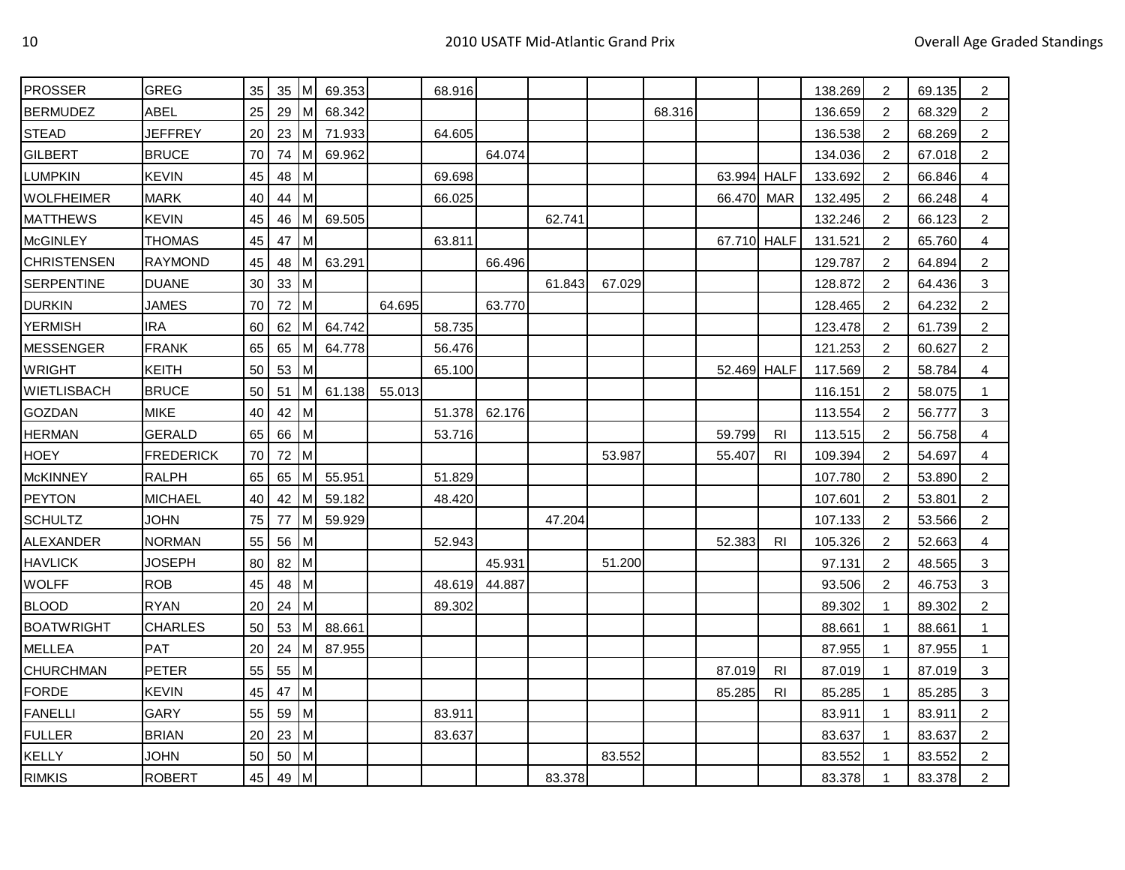| <b>PROSSER</b>     | <b>GREG</b>      | 35 | 35 | M              | 69.353 |        | 68.916 |        |        |        |        |             |           | 138.269 | 2              | 69.135 | $\overline{2}$ |
|--------------------|------------------|----|----|----------------|--------|--------|--------|--------|--------|--------|--------|-------------|-----------|---------|----------------|--------|----------------|
| <b>BERMUDEZ</b>    | <b>ABEL</b>      | 25 | 29 | lм             | 68.342 |        |        |        |        |        | 68.316 |             |           | 136.659 | 2              | 68.329 | $\overline{c}$ |
| <b>STEAD</b>       | <b>JEFFREY</b>   | 20 | 23 | ıм             | 71.933 |        | 64.605 |        |        |        |        |             |           | 136.538 | 2              | 68.269 | $\overline{2}$ |
| <b>GILBERT</b>     | <b>BRUCE</b>     | 70 | 74 | Iм             | 69.962 |        |        | 64.074 |        |        |        |             |           | 134.036 | 2              | 67.018 | $\overline{2}$ |
| <b>LUMPKIN</b>     | <b>KEVIN</b>     | 45 | 48 | M              |        |        | 69.698 |        |        |        |        | 63.994 HALF |           | 133.692 | 2              | 66.846 | 4              |
| <b>WOLFHEIMER</b>  | <b>MARK</b>      | 40 | 44 | $\mathsf{I}$ M |        |        | 66.025 |        |        |        |        | 66.470      | MAR       | 132.495 | 2              | 66.248 | 4              |
| <b>MATTHEWS</b>    | <b>KEVIN</b>     | 45 | 46 | ıм             | 69.505 |        |        |        | 62.741 |        |        |             |           | 132.246 | 2              | 66.123 | $\overline{2}$ |
| <b>McGINLEY</b>    | <b>THOMAS</b>    | 45 | 47 | lм             |        |        | 63.811 |        |        |        |        | 67.710 HALF |           | 131.521 | 2              | 65.760 | 4              |
| <b>CHRISTENSEN</b> | <b>RAYMOND</b>   | 45 | 48 | M              | 63.291 |        |        | 66.496 |        |        |        |             |           | 129.787 | 2              | 64.894 | 2              |
| <b>SERPENTINE</b>  | <b>DUANE</b>     | 30 | 33 | Iм             |        |        |        |        | 61.843 | 67.029 |        |             |           | 128.872 | 2              | 64.436 | 3              |
| <b>DURKIN</b>      | <b>JAMES</b>     | 70 | 72 | Iм             |        | 64.695 |        | 63.770 |        |        |        |             |           | 128.465 | 2              | 64.232 | $\overline{2}$ |
| <b>YERMISH</b>     | <b>IRA</b>       | 60 | 62 | Iм             | 64.742 |        | 58.735 |        |        |        |        |             |           | 123.478 | 2              | 61.739 | 2              |
| <b>MESSENGER</b>   | <b>FRANK</b>     | 65 | 65 | Iм             | 64.778 |        | 56.476 |        |        |        |        |             |           | 121.253 | 2              | 60.627 | $\overline{2}$ |
| <b>WRIGHT</b>      | <b>KEITH</b>     | 50 | 53 | I M            |        |        | 65.100 |        |        |        |        | 52.469 HALF |           | 117.569 | 2              | 58.784 | 4              |
| WIETLISBACH        | <b>BRUCE</b>     | 50 | 51 | ıм             | 61.138 | 55.013 |        |        |        |        |        |             |           | 116.151 | 2              | 58.075 | $\mathbf 1$    |
| GOZDAN             | <b>MIKE</b>      | 40 | 42 | Iм             |        |        | 51.378 | 62.176 |        |        |        |             |           | 113.554 | $\overline{2}$ | 56.777 | 3              |
| <b>HERMAN</b>      | <b>GERALD</b>    | 65 | 66 | Iм             |        |        | 53.716 |        |        |        |        | 59.799      | <b>RI</b> | 113.515 | 2              | 56.758 | 4              |
| <b>HOEY</b>        | <b>FREDERICK</b> | 70 | 72 | Iм             |        |        |        |        |        | 53.987 |        | 55.407      | RI.       | 109.394 | 2              | 54.697 | 4              |
| <b>McKINNEY</b>    | <b>RALPH</b>     | 65 | 65 | Iм             | 55.951 |        | 51.829 |        |        |        |        |             |           | 107.780 | 2              | 53.890 | $\overline{2}$ |
| <b>PEYTON</b>      | <b>MICHAEL</b>   | 40 | 42 | Iм             | 59.182 |        | 48.420 |        |        |        |        |             |           | 107.601 | 2              | 53.801 | $\overline{c}$ |
| <b>SCHULTZ</b>     | <b>JOHN</b>      | 75 | 77 | Iм             | 59.929 |        |        |        | 47.204 |        |        |             |           | 107.133 | 2              | 53.566 | $\overline{c}$ |
| ALEXANDER          | <b>NORMAN</b>    | 55 | 56 | M              |        |        | 52.943 |        |        |        |        | 52.383      | <b>RI</b> | 105.326 | $\overline{2}$ | 52.663 | 4              |
| <b>HAVLICK</b>     | <b>JOSEPH</b>    | 80 | 82 | $\mathsf{M}$   |        |        |        | 45.931 |        | 51.200 |        |             |           | 97.131  | 2              | 48.565 | 3              |
| <b>WOLFF</b>       | <b>ROB</b>       | 45 | 48 | Iм             |        |        | 48.619 | 44.887 |        |        |        |             |           | 93.506  | 2              | 46.753 | 3              |
| <b>BLOOD</b>       | <b>RYAN</b>      | 20 | 24 | Iм             |        |        | 89.302 |        |        |        |        |             |           | 89.302  | $\mathbf 1$    | 89.302 | $\overline{2}$ |
| <b>BOATWRIGHT</b>  | <b>CHARLES</b>   | 50 | 53 | ıм             | 88.661 |        |        |        |        |        |        |             |           | 88.661  | -1             | 88.661 | $\mathbf 1$    |
| <b>MELLEA</b>      | PAT              | 20 | 24 | Iм             | 87.955 |        |        |        |        |        |        |             |           | 87.955  | -1             | 87.955 | 1              |
| CHURCHMAN          | <b>PETER</b>     | 55 | 55 | M              |        |        |        |        |        |        |        | 87.019      | RI        | 87.019  | -1             | 87.019 | 3              |
| <b>FORDE</b>       | <b>KEVIN</b>     | 45 | 47 | Iм             |        |        |        |        |        |        |        | 85.285      | <b>RI</b> | 85.285  | $\mathbf{1}$   | 85.285 | 3              |
| <b>FANELLI</b>     | <b>GARY</b>      | 55 | 59 | M              |        |        | 83.911 |        |        |        |        |             |           | 83.911  | -1             | 83.911 | $\overline{2}$ |
| <b>FULLER</b>      | <b>BRIAN</b>     | 20 | 23 | lм             |        |        | 83.637 |        |        |        |        |             |           | 83.637  | $\overline{1}$ | 83.637 | $\overline{2}$ |
| <b>KELLY</b>       | <b>JOHN</b>      | 50 | 50 | M              |        |        |        |        |        | 83.552 |        |             |           | 83.552  | -1             | 83.552 | 2              |
| <b>RIMKIS</b>      | <b>ROBERT</b>    | 45 | 49 | $\mathsf{M}$   |        |        |        |        | 83.378 |        |        |             |           | 83.378  | $\overline{1}$ | 83.378 | $\overline{2}$ |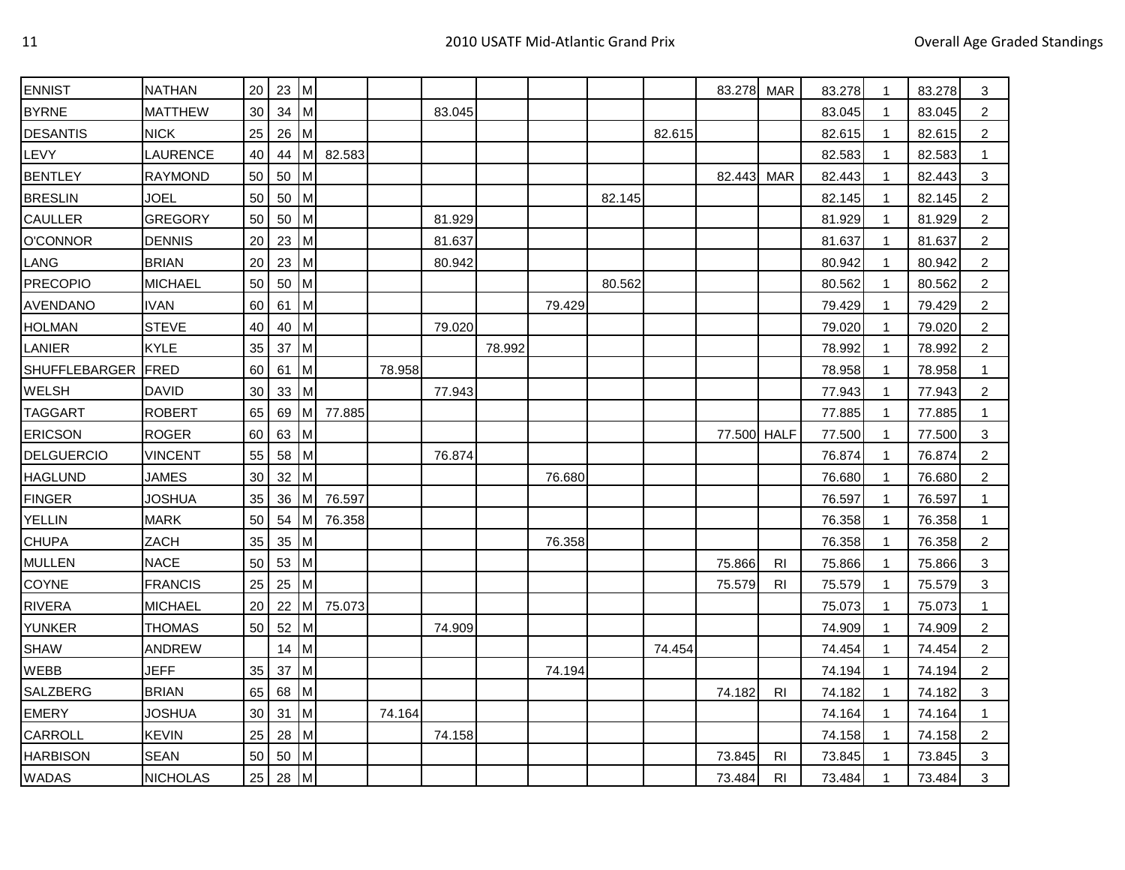| <b>ENNIST</b>      | <b>NATHAN</b>   | 20 <sub>1</sub> | $23$ M |    |        |        |        |        |        |        |        | 83.278 MAR  |                | 83.278 | -1           | 83.278 | 3              |
|--------------------|-----------------|-----------------|--------|----|--------|--------|--------|--------|--------|--------|--------|-------------|----------------|--------|--------------|--------|----------------|
| <b>BYRNE</b>       | <b>MATTHEW</b>  | 30              | 34     | Iм |        |        | 83.045 |        |        |        |        |             |                | 83.045 | $\mathbf{1}$ | 83.045 | $\overline{2}$ |
| <b>DESANTIS</b>    | <b>NICK</b>     | 25              | 26     | Iм |        |        |        |        |        |        | 82.615 |             |                | 82.615 | -1           | 82.615 | 2              |
| LEVY               | LAURENCE        | 40              | 44     | lм | 82.583 |        |        |        |        |        |        |             |                | 82.583 | 1            | 82.583 | $\mathbf 1$    |
| <b>BENTLEY</b>     | <b>RAYMOND</b>  | 50              | 50     | Iм |        |        |        |        |        |        |        | 82.443 MAR  |                | 82.443 | 1            | 82.443 | 3              |
| <b>BRESLIN</b>     | <b>JOEL</b>     | 50              | 50     | lм |        |        |        |        |        | 82.145 |        |             |                | 82.145 | $\mathbf{1}$ | 82.145 | $\overline{2}$ |
| CAULLER            | <b>GREGORY</b>  | 50              | 50     | Iм |        |        | 81.929 |        |        |        |        |             |                | 81.929 | -1           | 81.929 | $\overline{2}$ |
| <b>O'CONNOR</b>    | <b>DENNIS</b>   | 20              | 23     | Iм |        |        | 81.637 |        |        |        |        |             |                | 81.637 | $\mathbf{1}$ | 81.637 | $\overline{2}$ |
| LANG               | <b>BRIAN</b>    | 20              | 23     | lм |        |        | 80.942 |        |        |        |        |             |                | 80.942 | -1           | 80.942 | 2              |
| <b>PRECOPIO</b>    | <b>MICHAEL</b>  | 50              | 50     | Iм |        |        |        |        |        | 80.562 |        |             |                | 80.562 | $\mathbf{1}$ | 80.562 | $\overline{c}$ |
| AVENDANO           | <b>IVAN</b>     | 60              | 61     | M  |        |        |        |        | 79.429 |        |        |             |                | 79.429 | $\mathbf 1$  | 79.429 | 2              |
| <b>HOLMAN</b>      | <b>STEVE</b>    | 40              | 40     | Iм |        |        | 79.020 |        |        |        |        |             |                | 79.020 | $\mathbf{1}$ | 79.020 | 2              |
| LANIER             | <b>KYLE</b>     | 35              | 37     | Iм |        |        |        | 78.992 |        |        |        |             |                | 78.992 | $\mathbf{1}$ | 78.992 | 2              |
| SHUFFLEBARGER FRED |                 | 60              | 61     | Iм |        | 78.958 |        |        |        |        |        |             |                | 78.958 | -1           | 78.958 | $\mathbf{1}$   |
| <b>WELSH</b>       | <b>DAVID</b>    | 30              | 33     | Iм |        |        | 77.943 |        |        |        |        |             |                | 77.943 | -1           | 77.943 | $\overline{2}$ |
| <b>TAGGART</b>     | <b>ROBERT</b>   | 65              | 69     | Iм | 77.885 |        |        |        |        |        |        |             |                | 77.885 | 1            | 77.885 | -1             |
| <b>ERICSON</b>     | <b>ROGER</b>    | 60              | 63     | Iм |        |        |        |        |        |        |        | 77.500 HALF |                | 77.500 | $\mathbf{1}$ | 77.500 | 3              |
| <b>DELGUERCIO</b>  | <b>VINCENT</b>  | 55              | 58     | Iм |        |        | 76.874 |        |        |        |        |             |                | 76.874 | $\mathbf{1}$ | 76.874 | $\overline{c}$ |
| <b>HAGLUND</b>     | <b>JAMES</b>    | 30              | 32     | Iм |        |        |        |        | 76.680 |        |        |             |                | 76.680 | 1            | 76.680 | $\overline{2}$ |
| <b>FINGER</b>      | JOSHUA          | 35              | 36     | ıм | 76.597 |        |        |        |        |        |        |             |                | 76.597 | 1            | 76.597 | -1             |
| <b>YELLIN</b>      | <b>MARK</b>     | 50              | 54     | Iм | 76.358 |        |        |        |        |        |        |             |                | 76.358 | -1           | 76.358 | -1             |
| <b>CHUPA</b>       | ZACH            | 35              | 35     | Iм |        |        |        |        | 76.358 |        |        |             |                | 76.358 | 1            | 76.358 | 2              |
| <b>MULLEN</b>      | <b>NACE</b>     | 50              | 53     | Iм |        |        |        |        |        |        |        | 75.866      | <b>RI</b>      | 75.866 | 1            | 75.866 | 3              |
| COYNE              | <b>FRANCIS</b>  | 25              | 25     | Iм |        |        |        |        |        |        |        | 75.579      | RI             | 75.579 | -1           | 75.579 | 3              |
| <b>RIVERA</b>      | <b>MICHAEL</b>  | 20              | 22     | Iм | 75.073 |        |        |        |        |        |        |             |                | 75.073 | $\mathbf{1}$ | 75.073 | $\mathbf{1}$   |
| <b>YUNKER</b>      | <b>THOMAS</b>   | 50              | 52     | Iм |        |        | 74.909 |        |        |        |        |             |                | 74.909 | 1            | 74.909 | $\overline{c}$ |
| <b>SHAW</b>        | <b>ANDREW</b>   |                 | 14     | Iм |        |        |        |        |        |        | 74.454 |             |                | 74.454 | 1            | 74.454 | $\overline{c}$ |
| <b>WEBB</b>        | <b>JEFF</b>     | 35              | 37     | Iм |        |        |        |        | 74.194 |        |        |             |                | 74.194 | $\mathbf 1$  | 74.194 | 2              |
| SALZBERG           | <b>BRIAN</b>    | 65              | 68     | Iм |        |        |        |        |        |        |        | 74.182      | <b>RI</b>      | 74.182 | $\mathbf{1}$ | 74.182 | 3              |
| <b>EMERY</b>       | <b>JOSHUA</b>   | 30              | 31     | M  |        | 74.164 |        |        |        |        |        |             |                | 74.164 | $\mathbf 1$  | 74.164 | 1              |
| CARROLL            | <b>KEVIN</b>    | 25              | 28     | Iм |        |        | 74.158 |        |        |        |        |             |                | 74.158 | $\mathbf{1}$ | 74.158 | 2              |
| <b>HARBISON</b>    | <b>SEAN</b>     | 50              | 50     | M  |        |        |        |        |        |        |        | 73.845      | RI.            | 73.845 | $\mathbf 1$  | 73.845 | 3              |
| <b>WADAS</b>       | <b>NICHOLAS</b> | 25              | $28$ M |    |        |        |        |        |        |        |        | 73.484      | R <sub>l</sub> | 73.484 | $\mathbf{1}$ | 73.484 | 3              |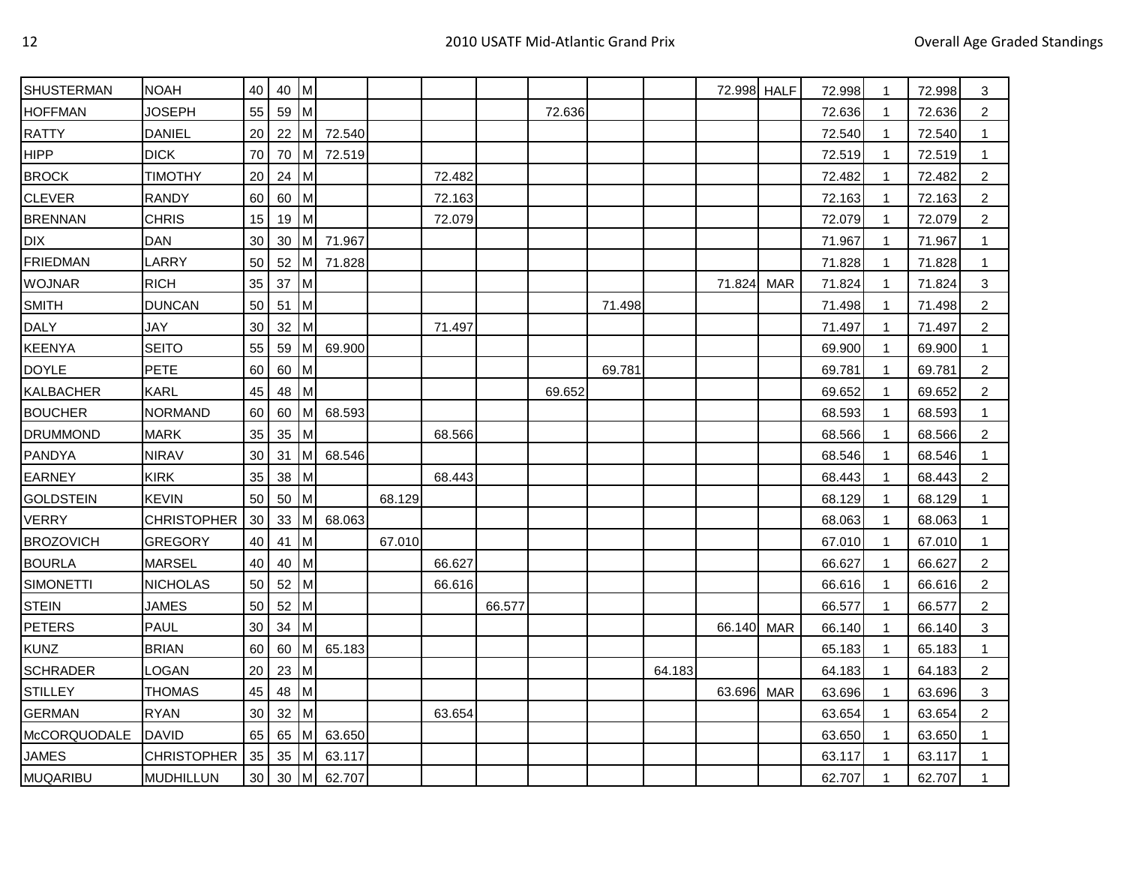| <b>SHUSTERMAN</b> | <b>NOAH</b>        | 40              | $40$ M |                |        |        |        |        |        |        |        | 72.998 HALF |            | 72.998 | 1              | 72.998 | 3                         |
|-------------------|--------------------|-----------------|--------|----------------|--------|--------|--------|--------|--------|--------|--------|-------------|------------|--------|----------------|--------|---------------------------|
| <b>HOFFMAN</b>    | <b>JOSEPH</b>      | 55              | 59 M   |                |        |        |        |        | 72.636 |        |        |             |            | 72.636 | $\mathbf{1}$   | 72.636 | $\overline{2}$            |
| <b>RATTY</b>      | <b>DANIEL</b>      | 20              | $22$ M |                | 72.540 |        |        |        |        |        |        |             |            | 72.540 | -1             | 72.540 | 1                         |
| <b>HIPP</b>       | <b>DICK</b>        | 70              | 70     | Iм             | 72.519 |        |        |        |        |        |        |             |            | 72.519 | -1             | 72.519 | $\mathbf 1$               |
| <b>BROCK</b>      | <b>TIMOTHY</b>     | 20              | 24     | $\mathsf{M}$   |        |        | 72.482 |        |        |        |        |             |            | 72.482 | -1             | 72.482 | $\overline{c}$            |
| <b>CLEVER</b>     | <b>RANDY</b>       | 60              | 60     | $\mathsf{I}$ M |        |        | 72.163 |        |        |        |        |             |            | 72.163 | $\mathbf{1}$   | 72.163 | $\overline{c}$            |
| <b>BRENNAN</b>    | <b>CHRIS</b>       | 15              | 19     | M              |        |        | 72.079 |        |        |        |        |             |            | 72.079 | -1             | 72.079 | $\overline{c}$            |
| DIX               | <b>DAN</b>         | 30              | 30     | Iм             | 71.967 |        |        |        |        |        |        |             |            | 71.967 | 1              | 71.967 | $\mathbf 1$               |
| <b>FRIEDMAN</b>   | LARRY              | 50              | 52     | Iм             | 71.828 |        |        |        |        |        |        |             |            | 71.828 | $\overline{1}$ | 71.828 | $\mathbf{1}$              |
| <b>WOJNAR</b>     | <b>RICH</b>        | 35              | 37     | $\mathsf{M}$   |        |        |        |        |        |        |        | 71.824      | <b>MAR</b> | 71.824 | $\mathbf 1$    | 71.824 | 3                         |
| <b>SMITH</b>      | <b>DUNCAN</b>      | 50              | 51     | $\mathsf{M}$   |        |        |        |        |        | 71.498 |        |             |            | 71.498 | -1             | 71.498 | $\overline{c}$            |
| <b>DALY</b>       | <b>JAY</b>         | 30              | 32     | $\mathsf{M}$   |        |        | 71.497 |        |        |        |        |             |            | 71.497 | $\mathbf 1$    | 71.497 | $\overline{c}$            |
| <b>KEENYA</b>     | <b>SEITO</b>       | 55              | 59     | <b>M</b>       | 69.900 |        |        |        |        |        |        |             |            | 69.900 | -1             | 69.900 | 1                         |
| <b>DOYLE</b>      | <b>PETE</b>        | 60              | 60     | $\mathsf{M}$   |        |        |        |        |        | 69.781 |        |             |            | 69.781 | $\mathbf 1$    | 69.781 | $\overline{c}$            |
| <b>KALBACHER</b>  | <b>KARL</b>        | 45              | 48     | $\mathsf{M}$   |        |        |        |        | 69.652 |        |        |             |            | 69.652 | -1             | 69.652 | 2                         |
| <b>BOUCHER</b>    | <b>NORMAND</b>     | 60              | 60     | <b>M</b>       | 68.593 |        |        |        |        |        |        |             |            | 68.593 | -1             | 68.593 | 1                         |
| <b>DRUMMOND</b>   | <b>MARK</b>        | 35              | 35     | <b>IM</b>      |        |        | 68.566 |        |        |        |        |             |            | 68.566 | -1             | 68.566 | $\overline{c}$            |
| PANDYA            | <b>NIRAV</b>       | 30              | 31     | M              | 68.546 |        |        |        |        |        |        |             |            | 68.546 |                | 68.546 |                           |
| <b>EARNEY</b>     | <b>KIRK</b>        | 35              | 38     | $\mathsf{M}$   |        |        | 68.443 |        |        |        |        |             |            | 68.443 | -1             | 68.443 | $\overline{c}$            |
| <b>GOLDSTEIN</b>  | <b>KEVIN</b>       | 50              | 50     | $\mathsf{M}$   |        | 68.129 |        |        |        |        |        |             |            | 68.129 | -1             | 68.129 | 1                         |
| <b>VERRY</b>      | <b>CHRISTOPHER</b> | 30              | 33     | $\mathsf{M}$   | 68.063 |        |        |        |        |        |        |             |            | 68.063 | $\mathbf{1}$   | 68.063 | $\mathbf{1}$              |
| <b>BROZOVICH</b>  | <b>GREGORY</b>     | 40              | 41     | $\mathsf{M}$   |        | 67.010 |        |        |        |        |        |             |            | 67.010 | -1             | 67.010 | $\mathbf 1$               |
| <b>BOURLA</b>     | <b>MARSEL</b>      | 40              | 40     | $\mathsf{M}$   |        |        | 66.627 |        |        |        |        |             |            | 66.627 | 1              | 66.627 | $\overline{c}$            |
| <b>SIMONETTI</b>  | <b>NICHOLAS</b>    | 50              | 52     | M              |        |        | 66.616 |        |        |        |        |             |            | 66.616 | 1              | 66.616 | $\overline{c}$            |
| <b>STEIN</b>      | <b>JAMES</b>       | 50              | 52     | $\mathsf{M}$   |        |        |        | 66.577 |        |        |        |             |            | 66.577 | $\mathbf 1$    | 66.577 | $\overline{c}$            |
| <b>PETERS</b>     | <b>PAUL</b>        | 30              | 34     | $\mathsf{I}$ M |        |        |        |        |        |        |        | 66.140 MAR  |            | 66.140 | -1             | 66.140 | $\ensuremath{\mathsf{3}}$ |
| <b>KUNZ</b>       | <b>BRIAN</b>       | 60              | 60     | <b>M</b>       | 65.183 |        |        |        |        |        |        |             |            | 65.183 | -1             | 65.183 | $\mathbf 1$               |
| <b>SCHRADER</b>   | <b>LOGAN</b>       | 20              | 23     | $\mathsf{M}$   |        |        |        |        |        |        | 64.183 |             |            | 64.183 | -1             | 64.183 | $\overline{c}$            |
| <b>STILLEY</b>    | <b>THOMAS</b>      | 45              | 48     | $\mathsf{M}$   |        |        |        |        |        |        |        | 63.696 MAR  |            | 63.696 | $\mathbf{1}$   | 63.696 | 3                         |
| <b>GERMAN</b>     | <b>RYAN</b>        | 30              | 32     | $\mathsf{M}$   |        |        | 63.654 |        |        |        |        |             |            | 63.654 | -1             | 63.654 | $\overline{c}$            |
| McCORQUODALE      | <b>DAVID</b>       | 65              | 65     | $\mathsf{M}$   | 63.650 |        |        |        |        |        |        |             |            | 63.650 | $\mathbf 1$    | 63.650 | $\mathbf{1}$              |
| <b>JAMES</b>      | <b>CHRISTOPHER</b> | 35              | 35     | M              | 63.117 |        |        |        |        |        |        |             |            | 63.117 | -1             | 63.117 | 1                         |
| <b>MUQARIBU</b>   | <b>MUDHILLUN</b>   | 30 <sup>°</sup> | $30$ M |                | 62.707 |        |        |        |        |        |        |             |            | 62.707 | $\mathbf{1}$   | 62.707 | $\mathbf{1}$              |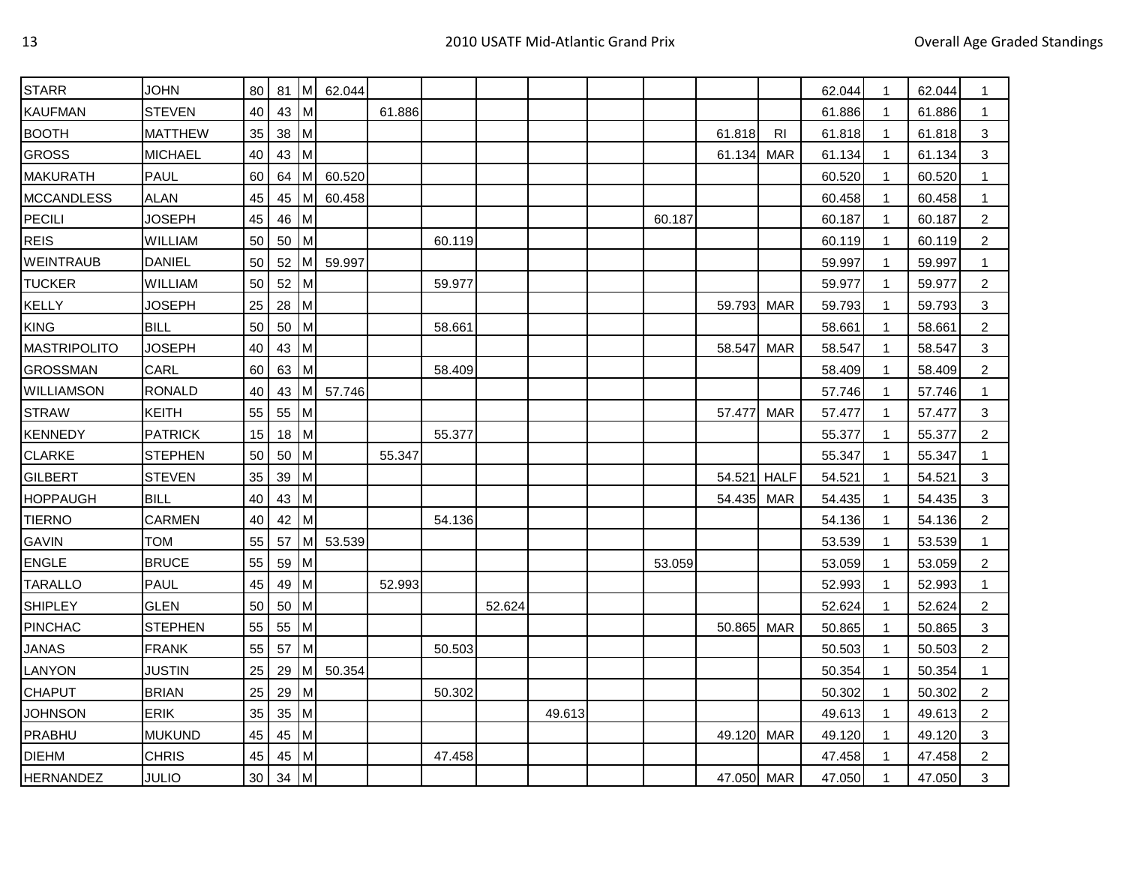| <b>STARR</b>        | <b>JOHN</b>    | 80 | 81     | Iм           | 62.044 |        |        |        |        |        |            |             | 62.044 | 1            | 62.044 | -1             |
|---------------------|----------------|----|--------|--------------|--------|--------|--------|--------|--------|--------|------------|-------------|--------|--------------|--------|----------------|
| <b>KAUFMAN</b>      | <b>STEVEN</b>  | 40 | 43     | lм           |        | 61.886 |        |        |        |        |            |             | 61.886 | $\mathbf{1}$ | 61.886 | 1              |
| <b>BOOTH</b>        | <b>MATTHEW</b> | 35 | 38     | Iм           |        |        |        |        |        |        | 61.818     | <b>RI</b>   | 61.818 | 1            | 61.818 | 3              |
| <b>GROSS</b>        | <b>MICHAEL</b> | 40 | 43     | ıм           |        |        |        |        |        |        | 61.134     | <b>MAR</b>  | 61.134 | 1            | 61.134 | 3              |
| <b>MAKURATH</b>     | <b>PAUL</b>    | 60 | 64     | Iм           | 60.520 |        |        |        |        |        |            |             | 60.520 | 1            | 60.520 |                |
| <b>MCCANDLESS</b>   | <b>ALAN</b>    | 45 | 45     | IM.          | 60.458 |        |        |        |        |        |            |             | 60.458 | $\mathbf{1}$ | 60.458 | $\mathbf{1}$   |
| <b>PECILI</b>       | <b>JOSEPH</b>  | 45 | 46     | M            |        |        |        |        |        | 60.187 |            |             | 60.187 | 1            | 60.187 | $\overline{c}$ |
| <b>REIS</b>         | WILLIAM        | 50 | 50     | lм           |        |        | 60.119 |        |        |        |            |             | 60.119 | $\mathbf 1$  | 60.119 | $\overline{c}$ |
| <b>WEINTRAUB</b>    | <b>DANIEL</b>  | 50 | 52     | Iм           | 59.997 |        |        |        |        |        |            |             | 59.997 | $\mathbf 1$  | 59.997 | -1             |
| <b>TUCKER</b>       | WILLIAM        | 50 | 52     | Iм           |        |        | 59.977 |        |        |        |            |             | 59.977 | $\mathbf{1}$ | 59.977 | $\overline{2}$ |
| <b>KELLY</b>        | <b>JOSEPH</b>  | 25 | 28     | M            |        |        |        |        |        |        | 59.793     | MAR         | 59.793 | $\mathbf 1$  | 59.793 | 3              |
| <b>KING</b>         | <b>BILL</b>    | 50 | 50     | Iм           |        |        | 58.661 |        |        |        |            |             | 58.661 | 1            | 58.661 | $\overline{2}$ |
| <b>MASTRIPOLITO</b> | <b>JOSEPH</b>  | 40 | 43     | Iм           |        |        |        |        |        |        | 58.547     | MAR         | 58.547 | -1           | 58.547 | 3              |
| <b>GROSSMAN</b>     | CARL           | 60 | 63     | Iм           |        |        | 58.409 |        |        |        |            |             | 58.409 | -1           | 58.409 | $\overline{c}$ |
| WILLIAMSON          | <b>RONALD</b>  | 40 | 43     | Iм           | 57.746 |        |        |        |        |        |            |             | 57.746 | -1           | 57.746 | $\mathbf{1}$   |
| <b>STRAW</b>        | <b>KEITH</b>   | 55 | 55     | Iм           |        |        |        |        |        |        | 57.477     | <b>MAR</b>  | 57.477 | -1           | 57.477 | 3              |
| <b>KENNEDY</b>      | <b>PATRICK</b> | 15 | 18     | M            |        |        | 55.377 |        |        |        |            |             | 55.377 | -1           | 55.377 | 2              |
| <b>CLARKE</b>       | <b>STEPHEN</b> | 50 | 50     | M            |        | 55.347 |        |        |        |        |            |             | 55.347 | 1            | 55.347 | 1              |
| <b>GILBERT</b>      | <b>STEVEN</b>  | 35 | 39     | Iм           |        |        |        |        |        |        | 54.521     | <b>HALF</b> | 54.521 | 1            | 54.521 | 3              |
| <b>HOPPAUGH</b>     | <b>BILL</b>    | 40 | 43     | Iм           |        |        |        |        |        |        | 54.435     | MAR         | 54.435 | 1            | 54.435 | 3              |
| <b>TIERNO</b>       | <b>CARMEN</b>  | 40 | 42     | Iм           |        |        | 54.136 |        |        |        |            |             | 54.136 | $\mathbf{1}$ | 54.136 | $\overline{2}$ |
| <b>GAVIN</b>        | <b>TOM</b>     | 55 | 57     | Iм           | 53.539 |        |        |        |        |        |            |             | 53.539 | 1            | 53.539 | -1             |
| <b>ENGLE</b>        | <b>BRUCE</b>   | 55 | 59     | Iм           |        |        |        |        |        | 53.059 |            |             | 53.059 | 1            | 53.059 | $\overline{2}$ |
| <b>TARALLO</b>      | <b>PAUL</b>    | 45 | 49     | Iм           |        | 52.993 |        |        |        |        |            |             | 52.993 | 1            | 52.993 | -1             |
| <b>SHIPLEY</b>      | <b>GLEN</b>    | 50 | 50     | Iм           |        |        |        | 52.624 |        |        |            |             | 52.624 | $\mathbf{1}$ | 52.624 | $\overline{c}$ |
| <b>PINCHAC</b>      | <b>STEPHEN</b> | 55 | 55     | $\mathsf{M}$ |        |        |        |        |        |        | 50.865     | MAR         | 50.865 | $\mathbf 1$  | 50.865 | 3              |
| <b>JANAS</b>        | <b>FRANK</b>   | 55 | 57     | Iм           |        |        | 50.503 |        |        |        |            |             | 50.503 | $\mathbf{1}$ | 50.503 | $\overline{2}$ |
| LANYON              | <b>JUSTIN</b>  | 25 | 29     | M            | 50.354 |        |        |        |        |        |            |             | 50.354 | -1           | 50.354 | $\mathbf{1}$   |
| <b>CHAPUT</b>       | <b>BRIAN</b>   | 25 | 29     | Iм           |        |        | 50.302 |        |        |        |            |             | 50.302 | $\mathbf{1}$ | 50.302 | $\overline{c}$ |
| <b>JOHNSON</b>      | <b>ERIK</b>    | 35 | 35     | Iм           |        |        |        |        | 49.613 |        |            |             | 49.613 | $\mathbf 1$  | 49.613 | 2              |
| PRABHU              | <b>MUKUND</b>  | 45 | 45     | M            |        |        |        |        |        |        | 49.120     | MAR         | 49.120 | -1           | 49.120 | 3              |
| <b>DIEHM</b>        | <b>CHRIS</b>   | 45 | 45     | lм           |        |        | 47.458 |        |        |        |            |             | 47.458 | -1           | 47.458 | $\overline{c}$ |
| <b>HERNANDEZ</b>    | <b>JULIO</b>   | 30 | $34$ M |              |        |        |        |        |        |        | 47.050 MAR |             | 47.050 | $\mathbf{1}$ | 47.050 | 3              |